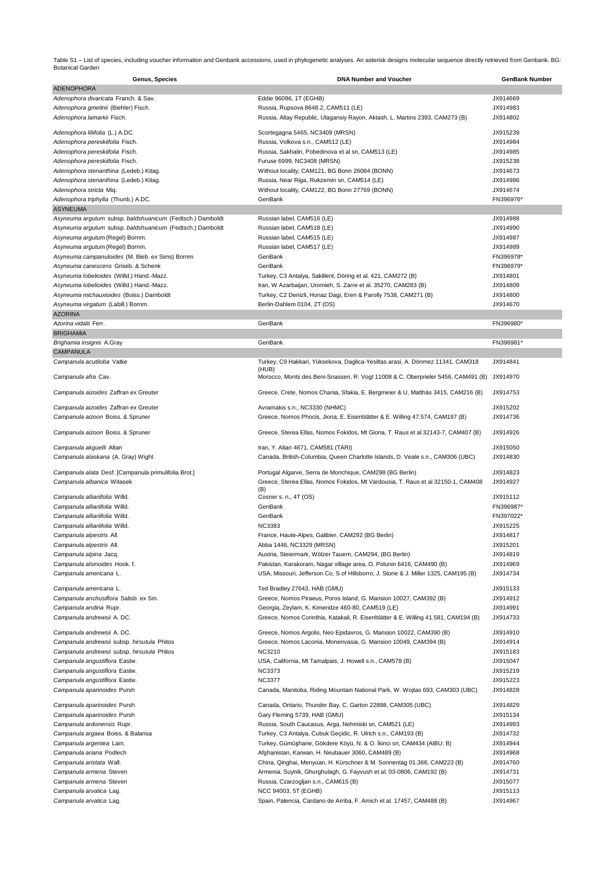Table S1 – List of species, including voucher information and Genbank accessions, used in phylogenetic analyses. An asterisk designs molecular sequence directly retrieved from Genbank. BG:<br>Botanical Garden

| Genus, Species                                            | <b>DNA Number and Voucher</b>                                                           | <b>GenBank Number</b> |
|-----------------------------------------------------------|-----------------------------------------------------------------------------------------|-----------------------|
| <b>ADENOPHORA</b>                                         |                                                                                         |                       |
| Adenophora divaricata Franch. & Sav.                      | Eddie 96086, 1T (EGHB)                                                                  | JX914669              |
| Adenophora gmelinii (Biehler) Fisch.                      | Russia, Rupsova 8648.2, CAM511 (LE)                                                     | JX914983              |
| Adenophora lamarkii Fisch.                                | Russia, Altay Republic, Ulagansiy Rayon, Aktash, L. Martins 2393, CAM273 (B)            | JX914802              |
|                                                           |                                                                                         |                       |
| Adenophora liliifolia (L.) A.DC.                          | Scortegagna 5465, NC3409 (MRSN)                                                         | JX915239              |
| Adenophora pereskiifolia Fisch.                           | Russia, Volkova s.n., CAM512 (LE)                                                       | JX914984              |
| Adenophora pereskiifolia Fisch.                           | Russia, Sakhalin, Pobedinova et al sn, CAM513 (LE)                                      | JX914985              |
| Adenophora pereskiifolia Fisch.                           | Furuse 6999, NC3408 (MRSN)                                                              | JX915238              |
| Adenophora stenanthina (Ledeb.) Kitag.                    | Without locality, CAM121, BG Bonn 26084 (BONN)                                          | JX914673              |
| Adenophora stenanthina (Ledeb.) Kitag.                    | Russia, Near Riga, Rukzemin sn, CAM514 (LE)                                             | JX914986              |
| Adenophora stricta Miq.                                   | Without locality, CAM122, BG Bonn 27769 (BONN)                                          | JX914674              |
| Adenophora triphylla (Thunb.) A.DC.                       | GenBank                                                                                 | FN396976*             |
| <b>ASYNEUMA</b>                                           |                                                                                         |                       |
| Asyneuma argutum subsp. baldshuanicum (Fedtsch.) Damboldt | Russian label, CAM516 (LE)                                                              | JX914988              |
| Asyneuma argutum subsp. baldshuanicum (Fedtsch.) Damboldt | Russian label, CAM518 (LE)                                                              | JX914990              |
| Asyneuma argutum (Regel) Bornm.                           | Russian label, CAM515 (LE)                                                              | JX914987              |
| Asyneuma argutum (Regel) Bornm.                           | Russian label, CAM517 (LE)                                                              | JX914989              |
| Asyneuma campanuloides (M. Bieb. ex Sims) Bornm           | GenBank                                                                                 | FN396978*             |
| Asyneuma canescens Griseb. & Schenk                       | GenBank                                                                                 | FN396979*             |
| Asyneuma lobelioides (Willd.) Hand.-Mazz.                 | Turkey, C3 Antalya, Saklilent, Döring et al. 421, CAM272 (B)                            | JX914801              |
| Asyneuma lobelioides (Willd.) Hand.-Mazz.                 | Iran, W Azarbaijan, Uromieh, S. Zarre et al. 35270, CAM283 (B)                          | JX914809              |
| Asyneuma michauxioides (Boiss.) Damboldt                  | Turkey, C2 Denizli, Honaz Dagi, Eren & Parolly 7538, CAM271 (B)                         | JX914800              |
| Asyneuma virgatum (Labill.) Bornm.                        | Berlin-Dahlem 0104, 2T (OS)                                                             | JX914670              |
| <b>AZORINA</b>                                            |                                                                                         |                       |
| Azorina vidalii Ferr.                                     | GenBank                                                                                 | FN396980*             |
| <b>BRIGHAMIA</b>                                          |                                                                                         |                       |
| Brighamia insignis A.Gray                                 | GenBank                                                                                 | FN396981*             |
| <b>CAMPANULA</b>                                          |                                                                                         |                       |
|                                                           |                                                                                         | JX914841              |
| Campanula acutiloba Vatke                                 | Turkey, C9 Hakkari, Yüksekova, Daglica-Yesiltas arasi, A. Dönmez 11341, CAM318<br>(HUB) |                       |
| Campanula afra Cav.                                       | Morocco, Monts des Beni-Snassen, R. Vogt 11008 & C. Oberprieler 5456, CAM491 (B)        | JX914970              |
| Campanula aizoides Zaffran ex Greuter                     | Greece, Crete, Nomos Chania, Sfakia, E. Bergmeier & U. Matthäs 3415, CAM216 (B)         | JX914753              |
|                                                           |                                                                                         |                       |
| Campanula aizoides Zaffran ex Greuter                     | Avramakis s.n., NC3330 (NHMC)                                                           | JX915202              |
| Campanula aizoon Boiss. & Spruner                         | Greece, Nomos Phocis, Jiona, E. Eisenblätter & E. Willing 47.574, CAM197 (B)            | JX914736              |
| Campanula aizoon Boiss. & Spruner                         | Greece, Sterea Ellas, Nomos Fokidos, Mt Giona, T. Raus et al 32143-7, CAM407 (B)        | JX914926              |
|                                                           |                                                                                         |                       |
| Campanula akguelli Altan                                  | Iran, Y. Altan 4671, CAM581 (TARI)                                                      | JX915050              |
| Campanula alaskana (A. Gray) Wight                        | Canada, British-Columbia, Queen Charlotte Islands, D. Veale s.n., CAM306 (UBC)          | JX914830              |
| Campanula alata Desf. [Campanula primulifolia Brot.]      | Portugal Algarve, Serra de Monchique, CAM298 (BG Berlin)                                | JX914823              |
| Campanula albanica Witasek                                | Greece, Sterea Ellas, Nomos Fokidos, Mt Vardousia, T. Raus et al 32150-1, CAM408        | JX914927              |
|                                                           | (B)                                                                                     |                       |
| Campanula alliariifolia Willd.                            | Cosner s. n., 4T (OS)                                                                   | JX915112              |
| Campanula alliariifolia Willd.                            | GenBank                                                                                 | FN396987*             |
| Campanula alliariifolia Willd.                            | GenBank                                                                                 | FN397022*             |
| Campanula alliariifolia Willd.                            | <b>NC3383</b>                                                                           | JX915225              |
| Campanula alpestris All.                                  | France, Haute-Alpes, Galibier, CAM292 (BG Berlin)                                       | JX914817              |
| Campanula alpestris All.                                  | Abba 1446, NC3329 (MRSN)                                                                | JX915201              |
| Campanula alpina Jacq.                                    | Austria, Steiermark, Wölzer Tauern, CAM294, (BG Berlin)                                 | JX914819              |
| Campanula alsinoides Hook. f.                             | Pakistan, Karakoram, Nagar village area, O. Polunin 6416, CAM490 (B)                    | JX914969              |
| Campanula americana L.                                    | USA, Missouri, Jefferson Co, S of Hillsborro, J. Stone & J. Miller 1325, CAM195 (B)     | JX914734              |
|                                                           |                                                                                         |                       |
| Campanula americana L.                                    | Ted Bradley 27643, HAB (GMU)                                                            | JX915133              |
| Campanula anchusiflora Salisb. ex Sm.                     | Greece, Nomos Piraeus, Poros Island, G. Mansion 10027, CAM392 (B)                       | JX914912              |
| Campanula andina Rupr.                                    | Georgia, Zeylam, K. Kimeridze 460-80, CAM519 (LE)                                       | JX914991              |
| Campanula andrewsii A. DC.                                | Greece, Nomos Corinthia, Katakali, R. Eisenblätter & E. Willing 41.581, CAM194 (B)      | JX914733              |
| Campanula andrewsii A. DC.                                | Greece, Nomos Argolis, Neo Epidavros, G. Mansion 10022, CAM390 (B)                      | JX914910              |
|                                                           |                                                                                         |                       |
| Campanula andrewsii subsp. hirsutula Phitos               | Greece, Nomos Laconia, Monenvasia, G. Mansion 10049, CAM394 (B)                         | JX914914              |
| Campanula andrewsii subsp. hirsutula Phitos               | <b>NC3210</b>                                                                           | JX915183              |
| Campanula angustiflora Eastw.                             | USA, California, Mt Tamalpais, J. Howell s.n., CAM578 (B)                               | JX915047              |
| Campanula angustiflora Eastw.                             | <b>NC3373</b>                                                                           | JX915219              |
| Campanula angustiflora Eastw.                             | <b>NC3377</b>                                                                           | JX915223              |
| Campanula aparinoides Pursh                               | Canada, Manitoba, Riding Mountain National Park, W. Wojtas 693, CAM303 (UBC)            | JX914828              |
| Campanula aparinoides Pursh                               | Canada, Ontario, Thunder Bay, C. Garton 22898, CAM305 (UBC)                             | JX914829              |
| Campanula aparinoides Pursh                               | Gary Fleming 5739, HAB (GMU)                                                            | JX915134              |
| Campanula ardonensis Rupr.                                | Russia, South Caucasus, Arga, Nehmiski sn, CAM521 (LE)                                  | JX914993              |
| Campanula argaea Boiss. & Balansa                         | Turkey, C3 Antalya, Cubuk Geçidic, R. Ulrich s.n., CAM193 (B)                           | JX914732              |
| Campanula argentea Lam.                                   | Turkey, Gümüşhane, Gökdere Köyü, N. & O. İkinci sn, CAM434 (AIBU; B)                    | JX914944              |
| Campanula ariana Podlech                                  | Afghanistan, Karwan, H. Neubauer 3060, CAM489 (B)                                       | JX914968              |
| Campanula aristata Wall.                                  | China, Qinghai, Menyuan, H. Kürschner & M. Sonnentag 01.366, CAM223 (B)                 | JX914760              |
| Campanula armena Steven                                   | Armenia, Suynik, Ghurghulagh, G. Fayvush et al. 03-0806, CAM192 (B)                     | JX914731              |
| Campanula armena Steven                                   | Russia, Czarzogljan s.n., CAM615 (B)                                                    | JX915077              |
| Campanula arvatica Lag.                                   | NCC 94003, 5T (EGHB)                                                                    | JX915113              |
| Campanula arvatica Lag.                                   | Spain, Palencia, Cardano de Arriba, F. Amich et al. 17457, CAM488 (B)                   | JX914967              |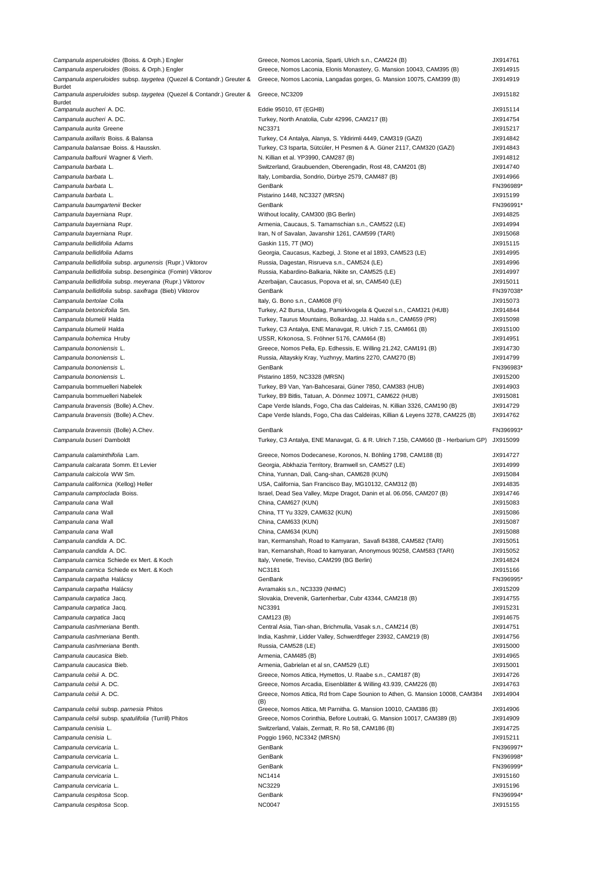| Campanula asperuloides (Boiss. & Orph.) Engler                        | Greece, Nomos Laconia, Sparti, Ulrich s.n., CAM224 (B)                            | JX914761              |
|-----------------------------------------------------------------------|-----------------------------------------------------------------------------------|-----------------------|
| Campanula asperuloides (Boiss. & Orph.) Engler                        | Greece, Nomos Laconia, Elonis Monastery, G. Mansion 10043, CAM395 (B)             | JX914915              |
| Campanula asperuloides subsp. taygetea (Quezel & Contandr.) Greuter & | Greece, Nomos Laconia, Langadas gorges, G. Mansion 10075, CAM399 (B)              | JX914919              |
| Burdet                                                                |                                                                                   |                       |
| Campanula asperuloides subsp. taygetea (Quezel & Contandr.) Greuter & | Greece, NC3209                                                                    | JX915182              |
| <b>Burdet</b>                                                         |                                                                                   |                       |
| Campanula aucheri A. DC.                                              | Eddie 95010, 6T (EGHB)                                                            | JX915114              |
| Campanula aucheri A. DC.                                              | Turkey, North Anatolia, Cubr 42996, CAM217 (B)                                    | JX914754              |
| Campanula aurita Greene                                               | <b>NC3371</b>                                                                     | JX915217              |
| Campanula axillaris Boiss. & Balansa                                  | Turkey, C4 Antalya, Alanya, S. Yildirimli 4449, CAM319 (GAZI)                     | JX914842              |
| Campanula balansae Boiss. & Hausskn.                                  | Turkey, C3 Isparta, Sütcüler, H Pesmen & A. Güner 2117, CAM320 (GAZI)             | JX914843              |
| Campanula balfourii Wagner & Vierh.                                   | N. Killian et al. YP3990, CAM287 (B)                                              | JX914812              |
| Campanula barbata L.                                                  | Switzerland, Graubuenden, Oberengadin, Rost 48, CAM201 (B)                        | JX914740              |
| Campanula barbata L.                                                  | Italy, Lombardia, Sondrio, Dürbye 2579, CAM487 (B)                                | JX914966              |
|                                                                       | GenBank                                                                           |                       |
| Campanula barbata L.                                                  |                                                                                   | FN396989*             |
| Campanula barbata L.                                                  | Pistarino 1448, NC3327 (MRSN)                                                     | JX915199              |
| Campanula baumgartenii Becker                                         | GenBank                                                                           | FN396991*             |
| Campanula bayerniana Rupr.                                            | Without locality, CAM300 (BG Berlin)                                              | JX914825              |
| Campanula bayerniana Rupr.                                            | Armenia, Caucaus, S. Tamamschian s.n., CAM522 (LE)                                | JX914994              |
| Campanula bayerniana Rupr.                                            | Iran, N of Savalan, Javanshir 1261, CAM599 (TARI)                                 | JX915068              |
| Campanula bellidifolia Adams                                          | Gaskin 115, 7T (MO)                                                               | JX915115              |
| Campanula bellidifolia Adams                                          | Georgia, Caucasus, Kazbegi, J. Stone et al 1893, CAM523 (LE)                      | JX914995              |
|                                                                       |                                                                                   | JX914996              |
| Campanula bellidifolia subsp. argunensis (Rupr.) Viktorov             | Russia, Dagestan, Risrueva s.n., CAM524 (LE)                                      |                       |
| Campanula bellidifolia subsp. besenginica (Fomin) Viktorov            | Russia, Kabardino-Balkaria, Nikite sn, CAM525 (LE)                                | JX914997              |
| Campanula bellidifolia subsp. meyerana (Rupr.) Viktorov               | Azerbaijan, Caucasus, Popova et al, sn, CAM540 (LE)                               | JX915011              |
| Campanula bellidifolia subsp. saxifraga (Bieb) Viktorov               | GenBank                                                                           | FN397038*             |
| Campanula bertolae Colla                                              | Italy, G. Bono s.n., CAM608 (FI)                                                  | JX915073              |
| Campanula betonicifolia Sm.                                           | Turkey, A2 Bursa, Uludag, Pamirkivogela & Quezel s.n., CAM321 (HUB)               | JX914844              |
| Campanula blumelii Halda                                              | Turkey, Taurus Mountains, Bolkardag, JJ. Halda s.n., CAM659 (PR)                  | JX915098              |
| Campanula blumelii Halda                                              | Turkey, C3 Antalya, ENE Manavgat, R. Ulrich 7.15, CAM661 (B)                      | JX915100              |
|                                                                       |                                                                                   |                       |
| Campanula bohemica Hruby                                              | USSR, Krkonosa, S. Fröhner 5176, CAM464 (B)                                       | JX914951              |
| Campanula bononiensis L.                                              | Greece, Nomos Pella, Ep. Edhessis, E. Willing 21.242, CAM191 (B)                  | JX914730              |
| Campanula bononiensis L.                                              | Russia, Altayskiy Kray, Yuzhnyy, Martins 2270, CAM270 (B)                         | JX914799              |
| Campanula bononiensis L.                                              | GenBank                                                                           | FN396983*             |
| Campanula bononiensis L.                                              | Pistarino 1859, NC3328 (MRSN)                                                     | JX915200              |
| Campanula bornmuelleri Nabelek                                        | Turkey, B9 Van, Yan-Bahcesarai, Güner 7850, CAM383 (HUB)                          | JX914903              |
| Campanula bornmuelleri Nabelek                                        | Turkey, B9 Bitlis, Tatuan, A. Dönmez 10971, CAM622 (HUB)                          | JX915081              |
| Campanula bravensis (Bolle) A.Chev.                                   | Cape Verde Islands, Fogo, Cha das Caldeiras, N. Killian 3326, CAM190 (B)          | JX914729              |
|                                                                       |                                                                                   |                       |
| Campanula bravensis (Bolle) A.Chev.                                   | Cape Verde Islands, Fogo, Cha das Caldeiras, Killian & Leyens 3278, CAM225 (B)    | JX914762              |
| Campanula bravensis (Bolle) A.Chev.                                   | GenBank                                                                           | FN396993*             |
|                                                                       |                                                                                   |                       |
|                                                                       |                                                                                   |                       |
| Campanula buseri Damboldt                                             | Turkey, C3 Antalya, ENE Manavgat, G. & R. Ulrich 7.15b, CAM660 (B - Herbarium GP) | JX915099              |
|                                                                       |                                                                                   |                       |
| Campanula calaminthifolia Lam.                                        | Greece, Nomos Dodecanese, Koronos, N. Böhling 1798, CAM188 (B)                    | JX914727              |
| Campanula calcarata Somm. Et Levier                                   | Georgia, Abkhazia Territory, Bramwell sn, CAM527 (LE)                             | JX914999              |
| Campanula calcicola WW Sm.                                            | China, Yunnan, Dali, Cang-shan, CAM628 (KUN)                                      | JX915084              |
| Campanula californica (Kellog) Heller                                 | USA, California, San Francisco Bay, MG10132, CAM312 (B)                           | JX914835              |
| Campanula camptoclada Boiss.                                          | Israel, Dead Sea Valley, Mizpe Dragot, Danin et al. 06.056, CAM207 (B)            | JX914746              |
| Campanula cana Wall                                                   | China, CAM627 (KUN)                                                               | JX915083              |
| Campanula cana Wall                                                   | China, TT Yu 3329, CAM632 (KUN)                                                   | JX915086              |
|                                                                       |                                                                                   |                       |
| <i>Campanula cana W</i> all                                           | China, CAM633 (KUN)                                                               | JX915087              |
| Campanula cana Wall                                                   | China, CAM634 (KUN)                                                               | JX915088              |
| Campanula candida A. DC.                                              | Iran, Kermanshah, Road to Kamyaran, Savafi 84388, CAM582 (TARI)                   | JX915051              |
| Campanula candida A. DC.                                              | Iran, Kernanshah, Road to kamyaran, Anonymous 90258, CAM583 (TARI)                | JX915052              |
| Campanula carnica Schiede ex Mert. & Koch                             | Italy, Venetie, Treviso, CAM299 (BG Berlin)                                       | JX914824              |
| Campanula carnica Schiede ex Mert. & Koch                             | <b>NC3181</b>                                                                     | JX915166              |
| Campanula carpatha Halácsy                                            | GenBank                                                                           | FN396995*             |
| Campanula carpatha Halácsy                                            | Avramakis s.n., NC3339 (NHMC)                                                     | JX915209              |
| Campanula carpatica Jacq.                                             | Slovakia, Drevenik, Gartenherbar, Cubr 43344, CAM218 (B)                          | JX914755              |
| Campanula carpatica Jacq.                                             | <b>NC3391</b>                                                                     | JX915231              |
|                                                                       |                                                                                   |                       |
| Campanula carpatica Jacq                                              | CAM123 (B)                                                                        | JX914675              |
| Campanula cashmeriana Benth.                                          | Central Asia, Tian-shan, Brichmulla, Vasak s.n., CAM214 (B)                       | JX914751              |
| Campanula cashmeriana Benth.                                          | India, Kashmir, Lidder Valley, Schwerdtfeger 23932, CAM219 (B)                    | JX914756              |
| Campanula cashmeriana Benth.                                          | Russia, CAM528 (LE)                                                               | JX915000              |
| Campanula caucasica Bieb.                                             | Armenia, CAM485 (B)                                                               | JX914965              |
| Campanula caucasica Bieb.                                             | Armenia, Gabrielan et al sn, CAM529 (LE)                                          | JX915001              |
| Campanula celsii A. DC.                                               | Greece, Nomos Attica, Hymettos, U. Raabe s.n., CAM187 (B)                         | JX914726              |
| Campanula celsii A. DC.                                               | Greece, Nomos Arcadia, Eisenblätter & Willing 43.939, CAM226 (B)                  | JX914763              |
|                                                                       |                                                                                   |                       |
| Campanula celsii A. DC.                                               | Greece, Nomos Attica, Rd from Cape Sounion to Athen, G. Mansion 10008, CAM384     | JX914904              |
| Campanula celsii subsp. parnesia Phitos                               | (B)<br>Greece, Nomos Attica, Mt Parnitha. G. Mansion 10010, CAM386 (B)            | JX914906              |
|                                                                       |                                                                                   |                       |
| Campanula celsii subsp. spatulifolia (Turrill) Phitos                 | Greece, Nomos Corinthia, Before Loutraki, G. Mansion 10017, CAM389 (B)            | JX914909              |
| Campanula cenisia L.                                                  | Switzerland, Valais, Zermatt, R. Ro 58, CAM186 (B)                                | JX914725              |
| Campanula cenisia L.                                                  | Poggio 1960, NC3342 (MRSN)                                                        | JX915211              |
| Campanula cervicaria L.                                               | GenBank                                                                           | FN396997*             |
| Campanula cervicaria L.                                               | GenBank                                                                           | FN396998*             |
| Campanula cervicaria L.                                               | GenBank                                                                           | FN396999*             |
| Campanula cervicaria L.                                               | <b>NC1414</b>                                                                     | JX915160              |
| Campanula cervicaria L.                                               | <b>NC3229</b>                                                                     | JX915196              |
|                                                                       |                                                                                   |                       |
| Campanula cespitosa Scop.<br>Campanula cespitosa Scop.                | GenBank<br><b>NC0047</b>                                                          | FN396994*<br>JX915155 |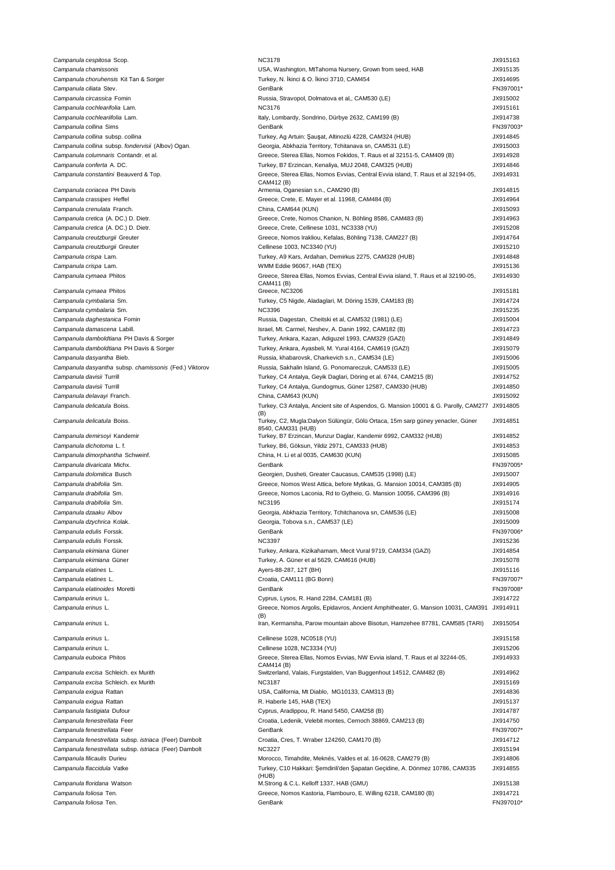| <i>Campanula cespitosa Scop.</i>                       |                                                                                              |           |
|--------------------------------------------------------|----------------------------------------------------------------------------------------------|-----------|
|                                                        | <b>NC3178</b>                                                                                | JX915163  |
| Campanula chamissonis                                  | USA, Washington, MtTahoma Nursery, Grown from seed, HAB                                      | JX915135  |
| Campanula choruhensis Kit Tan & Sorger                 | Turkey, N. İkinci & O. İkinci 3710, CAM454                                                   | JX914695  |
|                                                        |                                                                                              |           |
| Campanula ciliata Stev.                                | GenBank                                                                                      | FN397001  |
| Campanula circassica Fomin                             | Russia, Stravopol, Dolmatova et al,, CAM530 (LE)                                             | JX915002  |
| Campanula cochlearifolia Lam.                          | <b>NC3176</b>                                                                                | JX915161  |
| Campanula cochleariifolia Lam.                         | Italy, Lombardy, Sondrino, Dürbye 2632, CAM199 (B)                                           | JX914738  |
|                                                        |                                                                                              |           |
| Campanula collina Sims                                 | GenBank                                                                                      | FN397003  |
| Campanula collina subsp. collina                       | Turkey, Ag Artuin: Şauşat, Altinozlü 4228, CAM324 (HUB)                                      | JX914845  |
| Campanula collina subsp. fondervisii (Albov) Ogan.     | Georgia, Abkhazia Territory, Tchitanava sn, CAM531 (LE)                                      | JX915003  |
|                                                        |                                                                                              |           |
| Campanula columnaris Contandr. et al.                  | Greece, Sterea Ellas, Nomos Fokidos, T. Raus et al 32151-5, CAM409 (B)                       | JX914928  |
| Campanula conferta A. DC.                              | Turkey, B7 Erzincan, Kenaliya, MUJ 2048, CAM325 (HUB)                                        | JX914846  |
| Campanula constantini Beauverd & Top.                  | Greece, Sterea Ellas, Nomos Evvias, Central Evvia island, T. Raus et al 32194-05,            | JX914931  |
|                                                        | CAM412 (B)                                                                                   |           |
| Campanula coriacea PH Davis                            | Armenia, Oganesian s.n., CAM290 (B)                                                          | JX914815  |
|                                                        |                                                                                              | JX914964  |
| Campanula crassipes Heffel                             | Greece, Crete, E. Mayer et al. 11968, CAM484 (B)                                             |           |
| Campanula crenulata Franch.                            | China, CAM644 (KUN)                                                                          | JX915093  |
| Campanula cretica (A. DC.) D. Dietr.                   | Greece, Crete, Nomos Chanion, N. Böhling 8586, CAM483 (B)                                    | JX914963  |
| Campanula cretica (A. DC.) D. Dietr.                   | Greece, Crete, Cellinese 1031, NC3338 (YU)                                                   | JX915208  |
|                                                        |                                                                                              |           |
| <i>Campanula creutzburgii Greuter</i>                  | Greece, Nomos Irakliou, Kefalas, Böhling 7138, CAM227 (B)                                    | JX914764  |
| Campanula creutzburgii Greuter                         | Cellinese 1003, NC3340 (YU)                                                                  | JX915210  |
|                                                        |                                                                                              | JX914848  |
| <i>Campanula crispa</i> Lam.                           | Turkey, A9 Kars, Ardahan, Demirkus 2275, CAM328 (HUB)                                        |           |
| <i>Campanula crispa</i> Lam.                           | WMM Eddie 96067, HAB (TEX)                                                                   | JX915136  |
| Campanula cymaea Phitos                                | Greece, Sterea Ellas, Nomos Evvias, Central Evvia island, T. Raus et al 32190-05,            | JX914930  |
|                                                        | CAM411 (B)                                                                                   |           |
| <i>Campanula cymaea Phitos</i>                         | Greece, NC3206                                                                               | JX915181  |
|                                                        |                                                                                              |           |
| Campanula cymbalaria Sm.                               | Turkey, C5 Nigde, Aladaglari, M. Döring 1539, CAM183 (B)                                     | JX914724  |
| Campanula cymbalaria Sm.                               | <b>NC3396</b>                                                                                | JX915235  |
| Campanula daghestanica Fomin                           | Russia, Dagestan, Cheitski et al, CAM532 (1981) (LE)                                         | JX915004  |
|                                                        |                                                                                              |           |
| Campanula damascena Labill.                            | Israel, Mt. Carmel, Neshev, A. Danin 1992, CAM182 (B)                                        | JX914723  |
| Campanula damboldtiana PH Davis & Sorger               | Turkey, Ankara, Kazan, Adiguzel 1993, CAM329 (GAZI)                                          | JX914849  |
| Campanula damboldtiana PH Davis & Sorger               | Turkey, Ankara, Ayasbeli, M. Yural 4164, CAM619 (GAZI)                                       | JX915079  |
|                                                        |                                                                                              |           |
| Campanula dasyantha Bieb.                              | Russia, khabarovsk, Charkevich s.n., CAM534 (LE)                                             | JX915006  |
| Campanula dasyantha subsp. chamissonis (Fed.) Viktorov | Russia, Sakhalin Island, G. Ponomareczuk, CAM533 (LE)                                        | JX915005  |
| <i>Campanula davisii</i> Turrill                       | Turkey, C4 Antalya, Geyik Daglari, Döring et al. 6744, CAM215 (B)                            | JX914752  |
|                                                        |                                                                                              |           |
| <i>Campanula davisii</i> Turrill                       | Turkey, C4 Antalya, Gundogmus, Güner 12587, CAM330 (HUB)                                     | JX914850  |
| <i>Campanula delavayi</i> Franch.                      | China, CAM643 (KUN)                                                                          | JX915092  |
| Campanula delicatula Boiss.                            | Turkey, C3 Antalya, Ancient site of Aspendos, G. Mansion 10001 & G. Parolly, CAM277 JX914805 |           |
|                                                        | (B)                                                                                          |           |
|                                                        | Turkey, C2, Mugla:Dalyon Sülüngür, Gölü Ortaca, 15m sarp güney yenacler, Güner               | JX914851  |
| Campanula delicatula Boiss.                            |                                                                                              |           |
|                                                        | 8540, CAM331 (HUB)                                                                           |           |
| Campanula demirsoyi Kandemir                           | Turkey, B7 Erzincan, Munzur Daglar, Kandemir 6992, CAM332 (HUB)                              | JX914852  |
| Campanula dichotoma L. f.                              | Turkey, B6, Göksun, Yildiz 2971, CAM333 (HUB)                                                | JX914853  |
| Campanula dimorphantha Schweinf.                       | China, H. Li et al 0035, CAM630 (KUN)                                                        | JX915085  |
|                                                        |                                                                                              |           |
| Campanula divaricata Michx.                            | GenBank                                                                                      | FN397005  |
| Campanula dolomitica Busch                             | Georgien, Dusheti, Greater Caucasus, CAM535 (1998) (LE)                                      | JX915007  |
| <i>Campanula drabifolia S</i> m.                       | Greece, Nomos West Attica, before Mytikas, G. Mansion 10014, CAM385 (B)                      | JX914905  |
|                                                        |                                                                                              |           |
| <i>Campanula drabifolia S</i> m.                       | Greece, Nomos Laconia, Rd to Gytheio, G. Mansion 10056, CAM396 (B)                           | JX914916  |
| <i>Campanula drabifolia Sm.</i>                        | <b>NC3195</b>                                                                                | JX915174  |
|                                                        |                                                                                              |           |
|                                                        |                                                                                              |           |
| <i>Campanula dzaaku</i> Albov                          | Georgia, Abkhazia Territory, Tchitchanova sn, CAM536 (LE)                                    | JX915008  |
| <i>Campanula dzychrica K</i> olak.                     | Georgia, Tobova s.n., CAM537 (LE)                                                            | JX915009  |
| Campanula edulis Forssk.                               | GenBank                                                                                      | FN397006  |
|                                                        |                                                                                              |           |
| Campanula edulis Forssk.                               | <b>NC3397</b>                                                                                | JX915236  |
| <i>Campanula ekimiana Güner</i>                        | Turkey, Ankara, Kizikahamam, Mecit Vural 9719, CAM334 (GAZI)                                 | JX914854  |
| <i>Campanula ekimiana Güner</i>                        | Turkey, A. Güner et al 5629, CAM616 (HUB)                                                    | JX915078  |
| Campanula elatines L.                                  | Ayers-88-287, 12T (BH)                                                                       | JX915116  |
|                                                        |                                                                                              |           |
| Campanula elatines L.                                  | Croatia, CAM111 (BG Bonn)                                                                    | FN397007* |
| Campanula elatinoides Moretti                          | GenBank                                                                                      | FN397008* |
| Campanula erinus L.                                    | Cyprus, Lysos, R. Hand 2284, CAM181 (B)                                                      | JX914722  |
|                                                        |                                                                                              |           |
| Campanula erinus L.                                    | Greece, Nomos Argolis, Epidavros, Ancient Amphitheater, G. Mansion 10031, CAM391             | JX914911  |
|                                                        | (B)                                                                                          |           |
| Campanula erinus L.                                    | Iran, Kermansha, Parow mountain above Bisotun, Hamzehee 87781, CAM585 (TARI)                 | JX915054  |
|                                                        |                                                                                              |           |
| Campanula erinus L.                                    | Cellinese 1028, NC0518 (YU)                                                                  | JX915158  |
| Campanula erinus L.                                    | Cellinese 1028, NC3334 (YU)                                                                  | JX915206  |
|                                                        |                                                                                              |           |
| Campanula euboica Phitos                               | Greece, Sterea Ellas, Nomos Evvias, NW Evvia island, T. Raus et al 32244-05,                 | JX914933  |
|                                                        | CAM414 (B)                                                                                   |           |
| Campanula excisa Schleich. ex Murith                   | Switzerland, Valais, Furgstalden, Van Buggenhout 14512, CAM482 (B)                           | JX914962  |
| Campanula excisa Schleich. ex Murith                   | <b>NC3187</b>                                                                                | JX915169  |
| <i>Campanula exigua</i> Rattan                         | USA, California, Mt Diablo, MG10133, CAM313 (B)                                              | JX914836  |
|                                                        |                                                                                              |           |
| <i>Campanula exigua</i> Rattan                         | R. Haberle 145, HAB (TEX)                                                                    | JX915137  |
| <i>Campanula fastigiata</i> Dufour                     | Cyprus, Aradippou, R. Hand 5450, CAM258 (B)                                                  | JX914787  |
| Campanula fenestrellata Feer                           | Croatia, Ledenik, Velebit montes, Cernoch 38869, CAM213 (B)                                  | JX914750  |
|                                                        |                                                                                              |           |
| Campanula fenestrellata Feer                           | GenBank                                                                                      | FN397007* |
| Campanula fenestrellata subsp. istriaca (Feer) Dambolt | Croatia, Cres, T. Wraber 124260, CAM170 (B)                                                  | JX914712  |
| Campanula fenestrellata subsp. istriaca (Feer) Dambolt | <b>NC3227</b>                                                                                | JX915194  |
| Campanula filicaulis Durieu                            | Morocco, Timahdite, Meknès, Valdes et al. 16-0628, CAM279 (B)                                | JX914806  |
|                                                        |                                                                                              |           |
| Campanula flaccidula Vatke                             | Turkey, C10 Hakkari: Şemdinli'den Şapatan Geçidine, A. Dönmez 10786, CAM335                  | JX914855  |
|                                                        | (HUB)                                                                                        |           |
| Campanula floridana Watson                             | M.Strong & C.L. Kelloff 1337, HAB (GMU)                                                      | JX915138  |
| Campanula foliosa Ten.                                 | Greece, Nomos Kastoria, Flambouro, E. Willing 6218, CAM180 (B)                               | JX914721  |
| Campanula foliosa Ten.                                 | GenBank                                                                                      | FN397010* |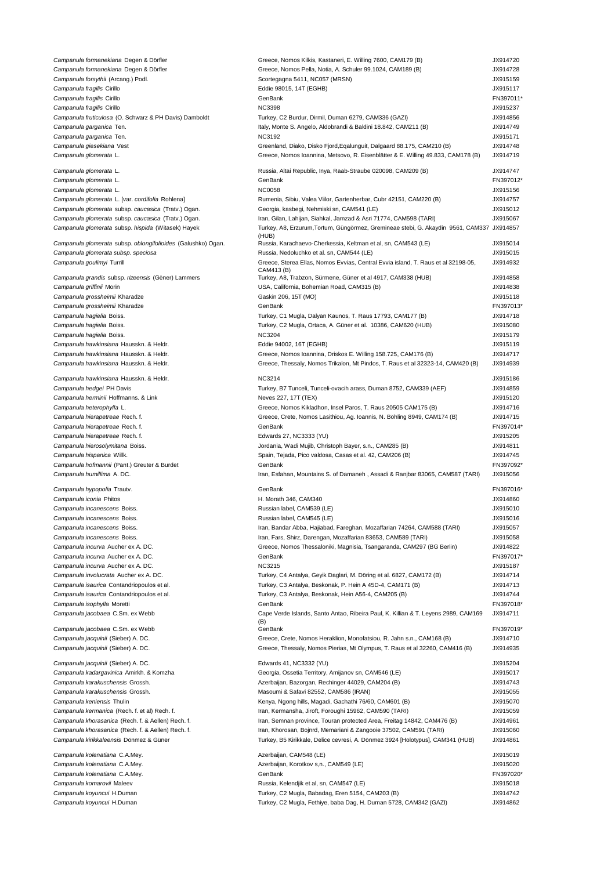- Campanula formanekiana Degen & Dörfler Greece, Greece, Nomos Kilkis, Kastaneri, E. Willing 7600, CAM179 (B) JX914720 Campanula formanekiana Degen & Dörfler Campanula forsythii (Arcang.) Podl. Campanula fragilis Cirillo Campanula fragilis Cirillo Campanula garganica Ten. Campanula garganica Ten. Campanula glomerata L. Campanula glomerata L. Campanula glomerata L. [var. cordifolia Rohlena] Campanula glomerata subsp. caucasica (Tratv.) Ogan. Campanula glomerata subsp. caucasica (Traty.) Ogan. Campanula glomerata subsp. hispida (Witasek) Hayek Campanula glomerata subsp. oblongifolioides (Galushko) Ogan. Campanula glomerata subsp. speciosa Campanula goulimyi Turrill Campanula grandis subsp. rizeensis (Gèner) Lammers Campanula griffinii Morin Campanula grossheimii Kharadze
- Campanula hagielia Boiss. Campanula hagielia Boiss. Campanula hagielia Boiss. Campanula hawkinsiana Hausskn. & Heldr. Campanula hawkinsiana Hausskn. & Heldr. Campanula hawkinsiana Hausskn. & Heldr.
- Campanula hawkinsiana Hausskn. & Heldr. Campanula hedgei PH Davis Campanula herminii Hoffmanns. & Link Campanula heterophylla L. Campanula hierapetreae Rech. f. Campanula hierapetreae Rech. f. Campanula hierosolymitana Boiss. Campanula hispanica Willk.
- Campanula iconia Phitos Campanula incanescens Boiss. Campanula incanescens Boiss. Campanula incanescens Boiss. Campanula incanescens Boiss. Campanula incurva Aucher ex A. DC. Campanula incurva Aucher ex A. DC. Campanula isaurica Contandriopoulos et al. Campanula isaurica Contandriopoulos et al. Campanula jacobaea C.Sm. ex Webb

| Campanula lomlanekiana Degen & Donie                         | Greece, Nornos Kilkis, Kastanen, E. Willing 7600, CAMT79 (D)                              | JA914720 |
|--------------------------------------------------------------|-------------------------------------------------------------------------------------------|----------|
| Campanula formanekiana Degen & Dörfler                       | Greece, Nomos Pella, Notia, A. Schuler 99.1024, CAM189 (B)                                | JX914728 |
| Campanula forsythii (Arcang.) Podl.                          | Scortegagna 5411, NC057 (MRSN)                                                            | JX915159 |
| Campanula fragilis Cirillo                                   | Eddie 98015, 14T (EGHB)                                                                   | JX915117 |
| <i>Campanula fragilis C</i> irillo                           | GenBank                                                                                   | FN397011 |
| <i>Campanula fragilis C</i> irillo                           | <b>NC3398</b>                                                                             | JX915237 |
|                                                              |                                                                                           |          |
| Campanula fruticulosa (O. Schwarz & PH Davis) Damboldt       | Turkey, C2 Burdur, Dirmil, Duman 6279, CAM336 (GAZI)                                      | JX914856 |
| Campanula garganica Ten.                                     | Italy, Monte S. Angelo, Aldobrandi & Baldini 18.842, CAM211 (B)                           | JX914749 |
| <i>Campanula garganica</i> Ten.                              | <b>NC3192</b>                                                                             | JX915171 |
| Campanula giesekiana Vest                                    | Greenland, Diako, Disko Fjord, Eqalunguit, Dalgaard 88.175, CAM210 (B)                    | JX914748 |
| Campanula glomerata L.                                       | Greece, Nomos Ioannina, Metsovo, R. Eisenblätter & E. Willing 49.833, CAM178 (B)          | JX914719 |
|                                                              |                                                                                           |          |
| Campanula glomerata L.                                       | Russia, Altai Republic, Inya, Raab-Straube 020098, CAM209 (B)                             | JX914747 |
| Campanula glomerata L.                                       | GenBank                                                                                   | FN397012 |
|                                                              | <b>NC0058</b>                                                                             | JX915156 |
| Campanula glomerata L.                                       |                                                                                           |          |
| Campanula glomerata L. [var. cordifolia Rohlena]             | Rumenia, Sibiu, Valea Viilor, Gartenherbar, Cubr 42151, CAM220 (B)                        | JX914757 |
| Campanula glomerata subsp. caucasica (Tratv.) Ogan.          | Georgia, kasbegi, Nehmiski sn, CAM541 (LE)                                                | JX915012 |
| Campanula glomerata subsp. caucasica (Tratv.) Ogan.          | Iran, Gilan, Lahijan, Siahkal, Jamzad & Asri 71774, CAM598 (TARI)                         | JX915067 |
| Campanula glomerata subsp. hispida (Witasek) Hayek           | Turkey, A8, Erzurum, Tortum, Güngörmez, Gremineae stebi, G. Akaydin 9561, CAM337 JX914857 |          |
|                                                              | (HUB)                                                                                     |          |
| Campanula glomerata subsp. oblongifolioides (Galushko) Ogan. | Russia, Karachaevo-Cherkessia, Keltman et al, sn, CAM543 (LE)                             | JX915014 |
| Campanula glomerata subsp. speciosa                          | Russia, Nedoluchko et al. sn, CAM544 (LE)                                                 | JX915015 |
|                                                              | Greece, Sterea Ellas, Nomos Evvias, Central Evvia island, T. Raus et al 32198-05,         |          |
| Campanula goulimyi Turrill                                   | CAM413 (B)                                                                                | JX914932 |
| Campanula grandis subsp. rizeensis (Gèner) Lammers           | Turkey, A8, Trabzon, Sürmene, Güner et al 4917, CAM338 (HUB)                              | JX914858 |
|                                                              |                                                                                           |          |
| <i>Campanula griffinii M</i> orin                            | USA, California, Bohemian Road, CAM315 (B)                                                | JX914838 |
| <i>Campanula grossheimii K</i> haradze                       | Gaskin 206, 15T (MO)                                                                      | JX915118 |
| <i>Campanula grossheimii K</i> haradze                       | GenBank                                                                                   | FN397013 |
| <i>Campanula hagielia B</i> oiss.                            | Turkey, C1 Mugla, Dalyan Kaunos, T. Raus 17793, CAM177 (B)                                | JX914718 |
| Campanula hagielia Boiss.                                    | Turkey, C2 Mugla, Ortaca, A. Güner et al. 10386, CAM620 (HUB)                             | JX915080 |
|                                                              |                                                                                           |          |
| Campanula hagielia Boiss.                                    | <b>NC3204</b>                                                                             | JX915179 |
| Campanula hawkinsiana Hausskn. & Heldr.                      | Eddie 94002, 16T (EGHB)                                                                   | JX915119 |
| Campanula hawkinsiana Hausskn. & Heldr.                      | Greece, Nomos Ioannina, Driskos E. Willing 158.725, CAM176 (B)                            | JX914717 |
| Campanula hawkinsiana Hausskn. & Heldr.                      | Greece, Thessaly, Nomos Trikalon, Mt Pindos, T. Raus et al 32323-14, CAM420 (B)           | JX914939 |
|                                                              |                                                                                           |          |
| Campanula hawkinsiana Hausskn. & Heldr.                      | <b>NC3214</b>                                                                             | JX915186 |
|                                                              |                                                                                           |          |
| <i>Campanula hedgei</i> PH Davis                             | Turkey, B7 Tunceli, Tunceli-ovacih arass, Duman 8752, CAM339 (AEF)                        | JX914859 |
| Campanula herminii Hoffmanns. & Link                         | Neves 227, 17T (TEX)                                                                      | JX915120 |
| Campanula heterophylla L.                                    | Greece, Nomos Kikladhon, Insel Paros, T. Raus 20505 CAM175 (B)                            | JX914716 |
| Campanula hierapetreae Rech. f.                              | Greece, Crete, Nomos Lasithiou, Ag. Ioannis, N. Böhling 8949, CAM174 (B)                  | JX914715 |
|                                                              |                                                                                           |          |
| <i>Campanula hierapetreae Rech. f.</i>                       | GenBank                                                                                   | FN397014 |
| Campanula hierapetreae Rech. f.                              | Edwards 27, NC3333 (YU)                                                                   | JX915205 |
| Campanula hierosolymitana Boiss.                             | Jordania, Wadi Mujib, Christoph Bayer, s.n., CAM285 (B)                                   | JX914811 |
| Campanula hispanica Willk.                                   | Spain, Tejada, Pico valdosa, Casas et al. 42, CAM206 (B)                                  | JX914745 |
| Campanula hofmannii (Pant.) Greuter & Burdet                 | GenBank                                                                                   | FN397092 |
|                                                              |                                                                                           |          |
| Campanula humillima A. DC.                                   | Iran, Esfahan, Mountains S. of Damaneh, Assadi & Ranjbar 83065, CAM587 (TARI)             | JX915056 |
|                                                              |                                                                                           | FN397016 |
| Campanula hypopolia Trautv.                                  | GenBank                                                                                   |          |
| <i>Campanula iconia Phitos</i>                               | H. Morath 346, CAM340                                                                     | JX914860 |
| Campanula incanescens Boiss.                                 | Russian label, CAM539 (LE)                                                                | JX915010 |
| Campanula incanescens Boiss.                                 | Russian label, CAM545 (LE)                                                                | JX915016 |
|                                                              |                                                                                           | JX915057 |
| <i>Campanula incanescens B</i> oiss.                         | Iran, Bandar Abba, Hajiabad, Fareghan, Mozaffarian 74264, CAM588 (TARI)                   |          |
| Campanula incanescens Boiss.                                 | Iran, Fars, Shirz, Darengan, Mozaffarian 83653, CAM589 (TARI)                             | JX915058 |
| Campanula incurva Aucher ex A. DC.                           | Greece, Nomos Thessaloniki, Magnisia, Tsangaranda, CAM297 (BG Berlin)                     | JX914822 |
| Campanula incurva Aucher ex A. DC.                           | GenBank                                                                                   | FN397017 |
| Campanula incurva Aucher ex A. DC.                           | <b>NC3215</b>                                                                             | JX915187 |
|                                                              |                                                                                           |          |
| Campanula involucrata Aucher ex A. DC.                       | Turkey, C4 Antalya, Geyik Daglari, M. Döring et al. 6827, CAM172 (B)                      | JX914714 |
| Campanula isaurica Contandriopoulos et al.                   | Turkey, C3 Antalya, Beskonak, P. Hein A 45D-4, CAM171 (B)                                 | JX914713 |
| Campanula isaurica Contandriopoulos et al.                   | Turkey, C3 Antalya, Beskonak, Hein A56-4, CAM205 (B)                                      | JX914744 |
| Campanula isophylla Moretti                                  | GenBank                                                                                   | FN397018 |
|                                                              |                                                                                           | JX914711 |
| <i>Campanula jacobaea C.Sm.</i> ex Webb                      | Cape Verde Islands, Santo Antao, Ribeira Paul, K. Killian & T. Leyens 2989, CAM169        |          |
| <i>Campanula jacobaea C.</i> Sm. ex Webb                     | (B)<br>GenBank                                                                            | FN397019 |
|                                                              |                                                                                           |          |
| Campanula jacquinii (Sieber) A. DC.                          | Greece, Crete, Nomos Heraklion, Monofatsiou, R. Jahn s.n., CAM168 (B)                     | JX914710 |
| Campanula jacquinii (Sieber) A. DC.                          | Greece, Thessaly, Nomos Pierias, Mt Olympus, T. Raus et al 32260, CAM416 (B)              | JX914935 |
|                                                              |                                                                                           |          |
| <i>Campanula jacquinii</i> (Sieber) A. DC.                   | Edwards 41, NC3332 (YU)                                                                   | JX915204 |
| Campanula kadargavinica Amirkh. & Komzha                     | Georgia, Ossetia Territory, Amijanov sn, CAM546 (LE)                                      | JX915017 |
| Campanula karakuschensis Grossh.                             | Azerbaijan, Bazorgan, Rechinger 44029, CAM204 (B)                                         | JX914743 |
|                                                              |                                                                                           |          |
| Campanula karakuschensis Grossh.                             | Masoumi & Safavi 82552, CAM586 (IRAN)                                                     | JX915055 |
| <i>Campanula keniensis</i> Thulin                            | Kenya, Ngong hills, Magadi, Gachathi 76/60, CAM601 (B)                                    | JX915070 |
| <i>Campanula kermanica</i> (Rech. f. et al) Rech. f.         | Iran, Kermansha, Jiroft, Foroughi 15962, CAM590 (TARI)                                    | JX915059 |
| Campanula khorasanica (Rech. f. & Aellen) Rech. f.           | Iran, Semnan province, Touran protected Area, Freitag 14842, CAM476 (B)                   | JX914961 |
| Campanula khorasanica (Rech. f. & Aellen) Rech. f.           | Iran, Khorosan, Bojnrd, Memariani & Zangooie 37502, CAM591 (TARI)                         | JX915060 |
|                                                              |                                                                                           |          |
| <i>Campanula kirikkaleensis D</i> önmez & Güner              | Turkey, B5 Kirikkale, Delice cevresi, A. Dönmez 3924 [Holotypus], CAM341 (HUB)            | JX914861 |
|                                                              |                                                                                           |          |
| Campanula kolenatiana C.A.Mey.                               | Azerbaijan, CAM548 (LE)                                                                   | JX915019 |
| Campanula kolenatiana C.A.Mey.                               | Azerbaijan, Korotkov s,n., CAM549 (LE)                                                    | JX915020 |
| Campanula kolenatiana C.A.Mey.                               | GenBank                                                                                   | FN397020 |
| Campanula komarovii Maleev                                   | Russia, Kelendjik et al, sn, CAM547 (LE)                                                  | JX915018 |
|                                                              |                                                                                           | JX914742 |
| <i>Campanula koyuncui</i> H.Duman                            | Turkey, C2 Mugla, Babadag, Eren 5154, CAM203 (B)                                          |          |
|                                                              |                                                                                           |          |
| Campanula koyuncui H.Duman                                   | Turkey, C2 Mugla, Fethiye, baba Dag, H. Duman 5728, CAM342 (GAZI)                         | JX914862 |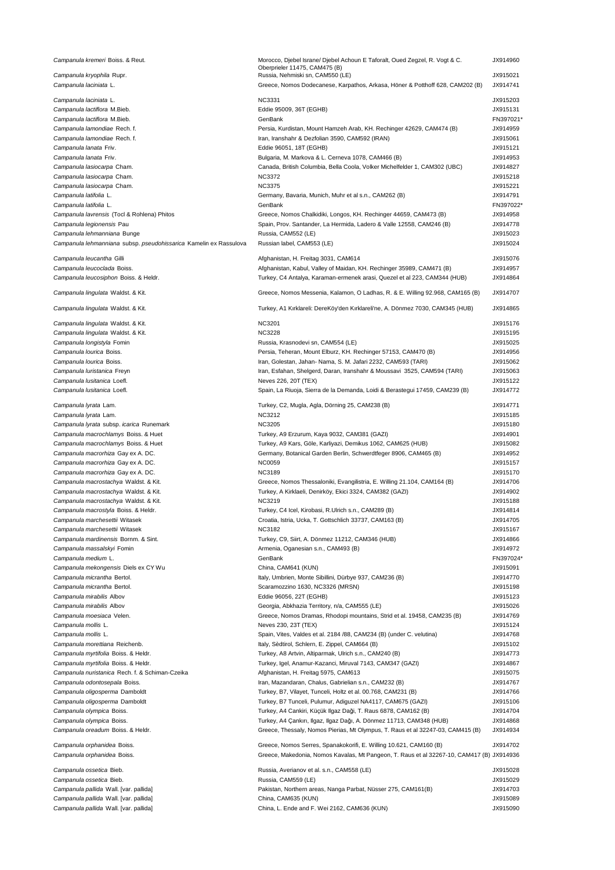| Campanula kremeri Boiss. & Reut.                                                 | Morocco, Djebel Israne/ Djebel Achoun E Taforalt, Oued Zegzel, R. Vogt & C.<br>Oberprieler 11475, CAM475 (B)        | JX914960             |
|----------------------------------------------------------------------------------|---------------------------------------------------------------------------------------------------------------------|----------------------|
| Campanula kryophila Rupr.                                                        | Russia, Nehmiski sn, CAM550 (LE)                                                                                    | JX915021             |
| Campanula laciniata L.                                                           | Greece, Nomos Dodecanese, Karpathos, Arkasa, Höner & Potthoff 628, CAM202 (B)                                       | JX914741             |
| Campanula laciniata L.                                                           | <b>NC3331</b>                                                                                                       | JX915203             |
| Campanula lactiflora M.Bieb.                                                     | Eddie 95009, 36T (EGHB)                                                                                             | JX915131             |
| Campanula lactiflora M.Bieb.                                                     | GenBank                                                                                                             | FN397021*            |
| Campanula lamondiae Rech. f.                                                     | Persia, Kurdistan, Mount Hamzeh Arab, KH. Rechinger 42629, CAM474 (B)                                               | JX914959             |
| Campanula lamondiae Rech. f.                                                     | Iran, Iranshahr & Dezfolian 3590, CAM592 (IRAN)                                                                     | JX915061             |
| Campanula lanata Friv.                                                           | Eddie 96051, 18T (EGHB)                                                                                             | JX915121             |
| Campanula lanata Friv.                                                           | Bulgaria, M. Markova & L. Cerneva 1078, CAM466 (B)                                                                  | JX914953             |
| Campanula lasiocarpa Cham.<br>Campanula lasiocarpa Cham.                         | Canada, British Columbia, Bella Coola, Volker Michelfelder 1, CAM302 (UBC)<br><b>NC3372</b>                         | JX914827<br>JX915218 |
| Campanula lasiocarpa Cham.                                                       | <b>NC3375</b>                                                                                                       | JX915221             |
| Campanula latifolia L.                                                           | Germany, Bavaria, Munich, Muhr et al s.n., CAM262 (B)                                                               | JX914791             |
| Campanula latifolia L.                                                           | GenBank                                                                                                             | FN397022*            |
| Campanula lavrensis (Tocl & Rohlena) Phitos                                      | Greece, Nomos Chalkidiki, Longos, KH. Rechinger 44659, CAM473 (B)                                                   | JX914958             |
| Campanula legionensis Pau                                                        | Spain, Prov. Santander, La Hermida, Ladero & Valle 12558, CAM246 (B)                                                | JX914778             |
| Campanula lehmanniana Bunge                                                      | Russia, CAM552 (LE)                                                                                                 | JX915023             |
| Campanula lehmanniana subsp. pseudohissarica Kamelin ex Rassulova                | Russian label, CAM553 (LE)                                                                                          | JX915024             |
| Campanula leucantha Gilli                                                        | Afghanistan, H. Freitag 3031, CAM614                                                                                | JX915076             |
| Campanula leucoclada Boiss.                                                      | Afghanistan, Kabul, Valley of Maidan, KH. Rechinger 35989, CAM471 (B)                                               | JX914957             |
| Campanula leucosiphon Boiss. & Heldr.                                            | Turkey, C4 Antalya, Karaman-ermenek arasi, Quezel et al 223, CAM344 (HUB)                                           | JX914864             |
| Campanula lingulata Waldst. & Kit.                                               | Greece, Nomos Messenia, Kalamon, O Ladhas, R. & E. Willing 92.968, CAM165 (B)                                       | JX914707             |
| Campanula lingulata Waldst. & Kit.                                               | Turkey, A1 Kırklareli: DereKöy'den Kırklareli'ne, A. Dönmez 7030, CAM345 (HUB)                                      | JX914865             |
|                                                                                  |                                                                                                                     |                      |
| Campanula lingulata Waldst. & Kit.                                               | <b>NC3201</b>                                                                                                       | JX915176             |
| Campanula lingulata Waldst. & Kit.                                               | <b>NC3228</b>                                                                                                       | JX915195             |
| Campanula longistyla Fomin<br>Campanula lourica Boiss.                           | Russia, Krasnodevi sn, CAM554 (LE)<br>Persia, Teheran, Mount Elburz, KH. Rechinger 57153, CAM470 (B)                | JX915025<br>JX914956 |
| Campanula lourica Boiss.                                                         | Iran, Golestan, Jahan- Nama, S. M. Jafari 2232, CAM593 (TARI)                                                       | JX915062             |
| Campanula luristanica Freyn                                                      | Iran, Esfahan, Shelgerd, Daran, Iranshahr & Moussavi 3525, CAM594 (TARI)                                            | JX915063             |
| Campanula lusitanica Loefl.                                                      | Neves 226, 20T (TEX)                                                                                                | JX915122             |
| Campanula lusitanica Loefl.                                                      | Spain, La Riuoja, Sierra de la Demanda, Loidi & Berastegui 17459, CAM239 (B)                                        | JX914772             |
|                                                                                  |                                                                                                                     |                      |
| Campanula Iyrata Lam.<br>Campanula lyrata Lam.                                   | Turkey, C2, Mugla, Agla, Dörning 25, CAM238 (B)<br><b>NC3212</b>                                                    | JX914771<br>JX915185 |
| Campanula lyrata subsp. icarica Runemark                                         | <b>NC3205</b>                                                                                                       | JX915180             |
| Campanula macrochlamys Boiss. & Huet                                             | Turkey, A9 Erzurum, Kaya 9032, CAM381 (GAZI)                                                                        | JX914901             |
| Campanula macrochlamys Boiss. & Huet                                             | Turkey, A9 Kars, Göle, Karliyazi, Demikus 1062, CAM625 (HUB)                                                        | JX915082             |
| Campanula macrorhiza Gay ex A. DC.                                               | Germany, Botanical Garden Berlin, Schwerdtfeger 8906, CAM465 (B)                                                    | JX914952             |
| Campanula macrorhiza Gay ex A. DC.                                               | <b>NC0059</b>                                                                                                       | JX915157             |
| Campanula macrorhiza Gay ex A. DC.                                               | <b>NC3189</b>                                                                                                       | JX915170             |
| Campanula macrostachya Waldst. & Kit.                                            | Greece, Nomos Thessaloniki, Evangilistria, E. Willing 21.104, CAM164 (B)                                            | JX914706             |
| Campanula macrostachya Waldst. & Kit.                                            | Turkey, A Kirklaeli, Denirköy, Ekici 3324, CAM382 (GAZI)                                                            | JX914902             |
| Campanula macrostachya Waldst. & Kit.                                            | <b>NC3219</b>                                                                                                       | JX915188             |
| Campanula macrostyla Boiss. & Heldr.                                             | Turkey, C4 Icel, Kirobasi, R.Ulrich s.n., CAM289 (B)                                                                | JX914814             |
| Campanula marchesettii Witasek                                                   | Croatia, Istria, Ucka, T. Gottschlich 33737, CAM163 (B)<br><b>NC3182</b>                                            | JX914705             |
| Campanula marchesettii Witasek<br>Campanula mardinensis Bornm. & Sint.           | Turkey, C9, Siirt, A. Dönmez 11212, CAM346 (HUB)                                                                    | JX915167<br>JX914866 |
| Campanula massalskyi Fomin                                                       | Armenia, Oganesian s.n., CAM493 (B)                                                                                 | JX914972             |
| Campanula medium L.                                                              | GenBank                                                                                                             | FN397024*            |
| Campanula mekongensis Diels ex CY Wu                                             | China, CAM641 (KUN)                                                                                                 | JX915091             |
| Campanula micrantha Bertol.                                                      | Italy, Umbrien, Monte Sibillini, Dürbye 937, CAM236 (B)                                                             | JX914770             |
| Campanula micrantha Bertol.                                                      | Scaramozzino 1630, NC3326 (MRSN)                                                                                    | JX915198             |
| Campanula mirabilis Albov                                                        | Eddie 96056, 22T (EGHB)                                                                                             | JX915123             |
| Campanula mirabilis Albov                                                        | Georgia, Abkhazia Territory, n/a, CAM555 (LE)                                                                       | JX915026             |
| Campanula moesiaca Velen.                                                        | Greece, Nomos Dramas, Rhodopi mountains, Strid et al. 19458, CAM235 (B)                                             | JX914769             |
| Campanula mollis L.                                                              | Neves 230, 23T (TEX)                                                                                                | JX915124             |
| Campanula mollis L.                                                              | Spain, Vites, Valdes et al. 2184 /88, CAM234 (B) (under C. velutina)                                                | JX914768             |
| Campanula morettiana Reichenb.                                                   | Italy, Sèdtirol, Schlern, E. Zippel, CAM664 (B)                                                                     | JX915102             |
| Campanula myrtifolia Boiss. & Heldr.<br>Campanula myrtifolia Boiss. & Heldr.     | Turkey, A8 Artvin, Altiparmak, Ulrich s.n., CAM240 (B)<br>Turkey, Igel, Anamur-Kazanci, Miruval 7143, CAM347 (GAZI) | JX914773<br>JX914867 |
| Campanula nuristanica Rech. f. & Schiman-Czeika                                  | Afghanistan, H. Freitag 5975, CAM613                                                                                | JX915075             |
| Campanula odontosepala Boiss.                                                    | Iran, Mazandaran, Chalus, Gabrielian s.n., CAM232 (B)                                                               | JX914767             |
| Campanula oligosperma Damboldt                                                   | Turkey, B7, Vilayet, Tunceli, Holtz et al. 00.768, CAM231 (B)                                                       | JX914766             |
| Campanula oligosperma Damboldt                                                   | Turkey, B7 Tunceli, Pulumur, Adiguzel NA4117, CAM675 (GAZI)                                                         | JX915106             |
| Campanula olympica Boiss.                                                        | Turkey, A4 Cankiri, Küçük Ilgaz Daği, T. Raus 6878, CAM162 (B)                                                      | JX914704             |
| Campanula olympica Boiss.                                                        | Turkey, A4 Çankırı, Ilgaz, Ilgaz Dağı, A. Dönmez 11713, CAM348 (HUB)                                                | JX914868             |
| Campanula oreadum Boiss. & Heldr.                                                | Greece, Thessaly, Nomos Pierias, Mt Olympus, T. Raus et al 32247-03, CAM415 (B)                                     | JX914934             |
| Campanula orphanidea Boiss.                                                      | Greece, Nomos Serres, Spanakokorifi, E. Willing 10.621, CAM160 (B)                                                  | JX914702             |
| Campanula orphanidea Boiss.                                                      | Greece, Makedonia, Nomos Kavalas, Mt Pangeon, T. Raus et al 32267-10, CAM417 (B) JX914936                           |                      |
| Campanula ossetica Bieb.                                                         | Russia, Averianov et al. s.n., CAM558 (LE)                                                                          | JX915028             |
| Campanula ossetica Bieb.                                                         | Russia, CAM559 (LE)                                                                                                 | JX915029             |
| Campanula pallida Wall. [var. pallida]                                           | Pakistan, Northern areas, Nanga Parbat, Nüsser 275, CAM161(B)                                                       | JX914703             |
| Campanula pallida Wall. [var. pallida]<br>Campanula pallida Wall. [var. pallida] | China, CAM635 (KUN)<br>China, L. Ende and F. Wei 2162, CAM636 (KUN)                                                 | JX915089<br>JX915090 |
|                                                                                  |                                                                                                                     |                      |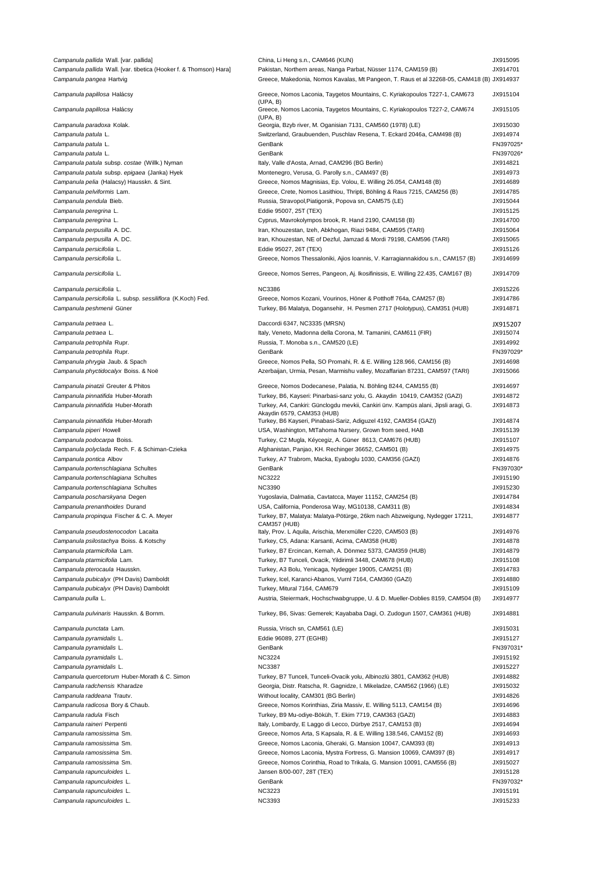| Campanula pallida Wall. [var. pallida]                             | China, Li Heng s.n., CAM646 (KUN)                                                                                | JX915095              |
|--------------------------------------------------------------------|------------------------------------------------------------------------------------------------------------------|-----------------------|
| Campanula pallida Wall. [var. tibetica (Hooker f. & Thomson) Hara] | Pakistan, Northern areas, Nanga Parbat, Nüsser 1174, CAM159 (B)                                                  | JX914701              |
| Campanula pangea Hartvig                                           | Greece, Makedonia, Nomos Kavalas, Mt Pangeon, T. Raus et al 32268-05, CAM418 (B) JX914937                        |                       |
| Campanula papillosa Halácsy                                        | Greece, Nomos Laconia, Taygetos Mountains, C. Kyriakopoulos T227-1, CAM673<br>(UPA, B)                           | JX915104              |
| Campanula papillosa Halácsy                                        | Greece, Nomos Laconia, Taygetos Mountains, C. Kyriakopoulos T227-2, CAM674<br>(UPA, B)                           | JX915105              |
| Campanula paradoxa Kolak.                                          | Georgia, Bzyb river, M. Oganisian 7131, CAM560 (1978) (LE)                                                       | JX915030              |
| Campanula patula L.                                                | Switzerland, Graubuenden, Puschlav Resena, T. Eckard 2046a, CAM498 (B)                                           | JX914974              |
| Campanula patula L.                                                | GenBank                                                                                                          | FN397025'             |
| Campanula patula L.                                                | GenBank                                                                                                          | FN397026*             |
| Campanula patula subsp. costae (Willk.) Nyman                      | Italy, Valle d'Aosta, Arnad, CAM296 (BG Berlin)                                                                  | JX914821              |
| Campanula patula subsp. epigaea (Janka) Hyek                       | Montenegro, Verusa, G. Parolly s.n., CAM497 (B)                                                                  | JX914973              |
| Campanula pelia (Halacsy) Hausskn. & Sint.                         | Greece, Nomos Magnisias, Ep. Volou, E. Willing 26.054, CAM148 (B)                                                | JX914689              |
| Campanula pelviformis Lam.                                         | Greece, Crete, Nomos Lasithiou, Thripti, Böhling & Raus 7215, CAM256 (B)                                         | JX914785              |
| Campanula pendula Bieb.                                            | Russia, Stravopol, Piatigorsk, Popova sn, CAM575 (LE)                                                            | JX915044              |
| Campanula peregrina L.                                             | Eddie 95007, 25T (TEX)                                                                                           | JX915125              |
| Campanula peregrina L.                                             | Cyprus, Mavrokolympos brook, R. Hand 2190, CAM158 (B)                                                            | JX914700              |
| Campanula perpusilla A. DC.                                        | Iran, Khouzestan, Izeh, Abkhogan, Riazi 9484, CAM595 (TARI)                                                      | JX915064              |
| Campanula perpusilla A. DC.                                        | Iran, Khouzestan, NE of Dezful, Jamzad & Mordi 79198, CAM596 (TARI)                                              | JX915065              |
| Campanula persicifolia L.                                          | Eddie 95027, 26T (TEX)                                                                                           | JX915126              |
| Campanula persicifolia L.                                          | Greece, Nomos Thessaloniki, Ajios Ioannis, V. Karragiannakidou s.n., CAM157 (B)                                  | JX914699              |
| Campanula persicifolia L.                                          | Greece, Nomos Serres, Pangeon, Aj. Ikosifinissis, E. Willing 22.435, CAM167 (B)                                  | JX914709              |
| Campanula persicifolia L.                                          | <b>NC3386</b>                                                                                                    | JX915226              |
| Campanula persicifolia L. subsp. sessiliflora (K.Koch) Fed.        | Greece, Nomos Kozani, Vourinos, Höner & Potthoff 764a, CAM257 (B)                                                | JX914786              |
| Campanula peshmenii Güner                                          | Turkey, B6 Malatya, Dogansehir, H. Pesmen 2717 (Holotypus), CAM351 (HUB)                                         | JX914871              |
| Campanula petraea L.                                               | Daccordi 6347, NC3335 (MRSN)                                                                                     | JX915207              |
| Campanula petraea L.                                               | Italy, Veneto, Madonna della Corona, M. Tamanini, CAM611 (FIR)                                                   | JX915074              |
| Campanula petrophila Rupr.                                         | Russia, T. Monoba s.n., CAM520 (LE)                                                                              | JX914992              |
| Campanula petrophila Rupr.                                         | GenBank                                                                                                          | FN397029*             |
| Campanula phrygia Jaub. & Spach                                    | Greece, Nomos Pella, SO Promahi, R. & E. Willing 128.966, CAM156 (B)                                             | JX914698              |
| Campanula phyctidocalyx Boiss. & Noë                               | Azerbaijan, Urmia, Pesan, Marmishu valley, Mozaffarian 87231, CAM597 (TARI)                                      | JX915066              |
| Campanula pinatzii Greuter & Phitos                                | Greece, Nomos Dodecanese, Palatia, N. Böhling 8244, CAM155 (B)                                                   | JX914697              |
| Campanula pinnatifida Huber-Morath                                 | Turkey, B6, Kayseri: Pinarbasi-sanz yolu, G. Akaydin 10419, CAM352 (GAZI)                                        | JX914872              |
| Campanula pinnatifida Huber-Morath                                 | Turkey, A4, Cankiri: Günclogdu mevkii, Cankiri ünv. Kampüs alani, Jipsli aragi, G.<br>Akaydin 6579, CAM353 (HUB) | JX914873              |
| Campanula pinnatifida Huber-Morath                                 | Turkey, B6 Kayseri, Pinabasi-Sariz, Adiguzel 4192, CAM354 (GAZI)                                                 | JX914874              |
| Campanula piperi Howell                                            | USA, Washington, MtTahoma Nursery, Grown from seed, HAB                                                          | JX915139              |
| Campanula podocarpa Boiss.                                         | Turkey, C2 Mugla, Kéycegiz, A. Güner 8613, CAM676 (HUB)                                                          | JX915107              |
| Campanula polyclada Rech. F. & Schiman-Czieka                      | Afghanistan, Panjao, KH. Rechinger 36652, CAM501 (B)                                                             | JX914975              |
| Campanula pontica Albov                                            | Turkey, A7 Trabrom, Macka, Eyaboglu 1030, CAM356 (GAZI)                                                          | JX914876              |
| Campanula portenschlagiana Schultes                                | GenBank                                                                                                          | FN397030*             |
| Campanula portenschlagiana Schultes                                | <b>NC3222</b>                                                                                                    | JX915190              |
| Campanula portenschlagiana Schultes                                | <b>NC3390</b>                                                                                                    | JX915230              |
| Campanula poscharskyana Degen                                      | Yugoslavia, Dalmatia, Cavtatcca, Mayer 11152, CAM254 (B)                                                         | JX914784              |
| Campanula prenanthoides Durand                                     | USA, California, Ponderosa Way, MG10138, CAM311 (B)                                                              | JX914834              |
| Campanula propinqua Fischer & C. A. Meyer                          | Turkey, B7, Malatya: Malatya-Pötürge, 26km nach Abzweigung, Nydegger 17211,<br><b>CAM357 (HUB)</b>               | JX914877              |
| Campanula pseudostenocodon Lacaita                                 | Italy, Prov. L Aquila, Arischia, Merxmüller C220, CAM503 (B)                                                     | JX914976              |
| Campanula psilostachya Boiss. & Kotschy                            | Turkey, C5, Adana: Karsanti, Acima, CAM358 (HUB)                                                                 | JX914878              |
| Campanula ptarmicifolia Lam.                                       | Turkey, B7 Ercincan, Kemah, A. Dönmez 5373, CAM359 (HUB)                                                         | JX914879              |
| Campanula ptarmicifolia Lam.                                       | Turkey, B7 Tunceli, Ovacik, Yildirimli 3448, CAM678 (HUB)                                                        | JX915108              |
| Campanula pterocaula Hausskn.                                      | Turkey, A3 Bolu, Yenicaga, Nydegger 19005, CAM251 (B)                                                            | JX914783              |
| Campanula pubicalyx (PH Davis) Damboldt                            | Turkey, Icel, Karanci-Abanos, Vurnl 7164, CAM360 (GAZI)                                                          | JX914880              |
| Campanula pubicalyx (PH Davis) Damboldt                            | Turkey, Mitural 7164, CAM679                                                                                     | JX915109              |
| Campanula pulla L.                                                 | Austria, Steiermark, Hochschwabgruppe, U. & D. Mueller-Doblies 8159, CAM504 (B)                                  | JX914977              |
| Campanula pulvinaris Hausskn. & Bornm.<br>Campanula punctata Lam.  | Turkey, B6, Sivas: Gemerek; Kayababa Dagi, O. Zudogun 1507, CAM361 (HUB)<br>Russia, Vrisch sn, CAM561 (LE)       | JX914881<br>JX915031  |
|                                                                    |                                                                                                                  |                       |
| Campanula pyramidalis L.<br>Campanula pyramidalis L.               | Eddie 96089, 27T (EGHB)<br>GenBank                                                                               | JX915127<br>FN397031* |
| Campanula pyramidalis L.                                           | <b>NC3224</b>                                                                                                    | JX915192              |
| Campanula pyramidalis L.                                           | <b>NC3387</b>                                                                                                    | JX915227              |
| Campanula quercetorum Huber-Morath & C. Simon                      | Turkey, B7 Tunceli, Tunceli-Ovacik yolu, Albinozlü 3801, CAM362 (HUB)                                            | JX914882              |
| Campanula radchensis Kharadze                                      | Georgia, Distr. Ratscha, R. Gagnidze, I. Mikeladze, CAM562 (1966) (LE)                                           | JX915032              |
| Campanula raddeana Trautv.                                         | Without locality, CAM301 (BG Berlin)                                                                             | JX914826              |
| Campanula radicosa Bory & Chaub.                                   | Greece, Nomos Korinthias, Ziria Massiv, E. Willing 5113, CAM154 (B)                                              | JX914696              |
| Campanula radula Fisch                                             | Turkey, B9 Mu-odiye-Böküh, T. Ekim 7719, CAM363 (GAZI)                                                           | JX914883              |
| Campanula raineri Perpenti                                         | Italy, Lombardy, E Laggo di Lecco, Dürbye 2517, CAM153 (B)                                                       | JX914694              |
| Campanula ramosissima Sm.                                          | Greece, Nomos Arta, S Kapsala, R. & E. Willing 138.546, CAM152 (B)                                               | JX914693              |
| Campanula ramosissima Sm.                                          | Greece, Nomos Laconia, Gheraki, G. Mansion 10047, CAM393 (B)                                                     | JX914913              |
| Campanula ramosissima Sm.                                          | Greece, Nomos Laconia, Mystra Fortress, G. Mansion 10069, CAM397 (B)                                             | JX914917              |
| Campanula ramosissima Sm.                                          | Greece, Nomos Corinthia, Road to Trikala, G. Mansion 10091, CAM556 (B)                                           | JX915027              |
| Campanula rapunculoides L.                                         | Jansen 8/00-007, 28T (TEX)                                                                                       | JX915128              |
| Campanula rapunculoides L.                                         | GenBank                                                                                                          | FN397032*             |
| Campanula rapunculoides L.                                         | <b>NC3223</b>                                                                                                    | JX915191              |
| Campanula rapunculoides L.                                         | <b>NC3393</b>                                                                                                    | JX915233              |
|                                                                    |                                                                                                                  |                       |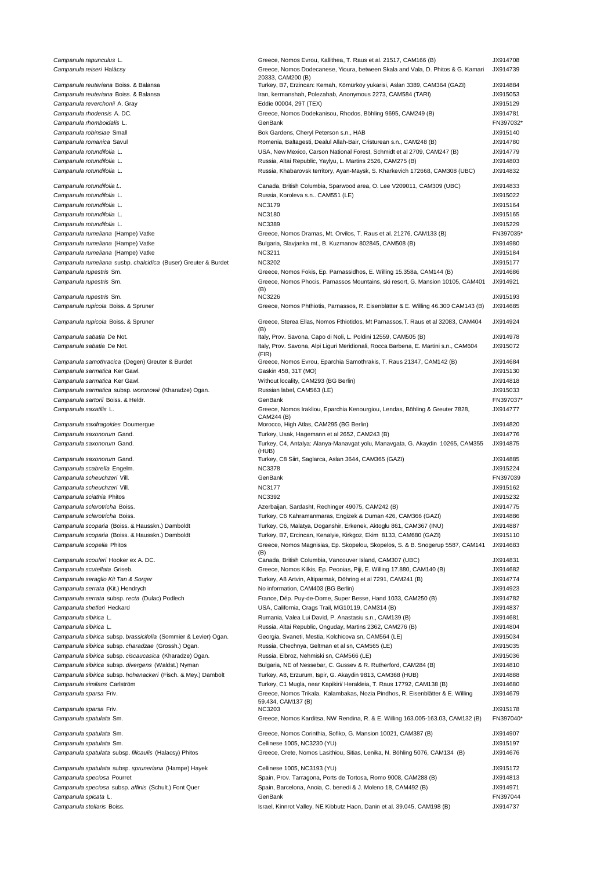Campanula rapunculus L. Campanula reiseri Halácsy Campanula reuteriana Boiss. & Balansa Campanula reuteriana Boiss, & Balansa Campanula reverchonii A. Gray Campanula rhodensis A. DC. Campanula rhomboidalis L. Campanula robinsiae Small Campanula romanica Savul Campanula rotundifolia L. Campanula rotundifolia I. Campanula rotundifolia L. Campanula rotundifolia L. Campanula rotundifolia L. Campanula rotundifolia L. Campanula rotundifolia L. Campanula rotundifolia L. Campanula rumeliana (Hampe) Vatke Campanula rumeliana (Hampe) Vatke Campanula rumeliana (Hampe) Vatke Campanula rumeliana susbp. chalcidica (Buser) Greuter & Burdet Campanula rupestris Sm. Campanula rupestris Sm. Campanula rupestris Sm. Campanula rupicola Boiss. & Spruner Campanula rupicola Boiss. & Spruner Campanula sabatia De Not. Campanula sabatia De Not. Campanula samothracica (Degen) Greuter & Burdet Campanula sarmatica Ker Gawl. Campanula sarmatica Ker Gawl. Campanula sarmatica subsp. woronowii (Kharadze) Ogan. Campanula sartorii Boiss. & Heldr. Campanula saxatilis L. Campanula saxifragoides Doumergue Campanula saxonorum Gand. Campanula saxonorum Gand. Campanula saxonorum Gand. Campanula scabrella Engelm. Campanula scheuchzeri Vill. Campanula scheuchzeri Vill. Campanula sciathia Phitos Campanula sclerotricha Boiss. Campanula sclerotricha Boiss. Campanula scoparia (Boiss. & Hausskn.) Damboldt Campanula scoparia (Boiss. & Hausskn.) Damboldt Campanula scopelia Phitos Campanula scouleri Hooker ex A. DC. Campanula scutellata Griseb. Campanula seraglio Kit Tan & Sorger Campanula serrata (Kit.) Hendrych Campanula serrata subsp. recta (Dulac) Podlech Campanula shetleri Heckard Campanula sibirica L. Campanula sibirica L. Campanula sibirica subsp. brassicifolia (Sommier & Levier) Ogan. Campanula sibirica subsp. charadzae (Grossh.) Ogan. Campanula sibirica subsp. ciscaucasica (Kharadze) Ogan. Campanula sibirica subsp. divergens (Waldst.) Nyman Campanula sibirica subsp. hohenackeri (Fisch. & Mey.) Dambolt Campanula similans Carlström Campanula sparsa Friv. Campanula sparsa Friv. Campanula spatulata Sm. Campanula spatulata Sm. Campanula spatulata Sm. Campanula spatulata subsp. filicaulis (Halacsy) Phitos Campanula spatulata subsp. spruneriana (Hampe) Hayek Campanula speciosa Pourret Campanula speciosa subsp. affinis (Schult.) Font Quer Campanula spicata L. Campanula stellaris Boiss.

| Greece, Nomos Evrou, Kallithea, T. Raus et al. 21517, CAM166 (B)<br>Greece, Nomos Dodecanese, Yioura, between Skala and Vala, D. Phitos & G. Kamari     | JX914708<br>JX914739 |
|---------------------------------------------------------------------------------------------------------------------------------------------------------|----------------------|
| 20333, CAM200 (B)<br>Turkey, B7, Erzincan: Kemah, Kömürköy yukarisi, Aslan 3389, CAM364 (GAZI)                                                          | JX914884             |
| Iran, kermanshah, Polezahab, Anonymous 2273, CAM584 (TARI)                                                                                              | JX915053             |
| Eddie 00004, 29T (TEX)<br>Greece, Nomos Dodekanisou, Rhodos, Böhling 9695, CAM249 (B)                                                                   | JX915129<br>JX914781 |
| GenBank                                                                                                                                                 | FN397032<br>JX915140 |
| Bok Gardens, Cheryl Peterson s.n., HAB<br>Romenia, Baltagesti, Dealul Allah-Bair, Cristurean s.n., CAM248 (B)                                           | JX914780             |
| USA, New Mexico, Carson National Forest, Schmidt et al 2709, CAM247 (B)                                                                                 | JX914779             |
| Russia, Altai Republic, Yaylyu, L. Martins 2526, CAM275 (B)                                                                                             | JX914803             |
| Russia, Khabarovsk territory, Ayan-Maysk, S. Kharkevich 172668, CAM308 (UBC)                                                                            | JX914832             |
| Canada, British Columbia, Sparwood area, O. Lee V209011, CAM309 (UBC)                                                                                   | JX914833             |
| Russia, Koroleva s.n CAM551 (LE)<br><b>NC3179</b>                                                                                                       | JX915022<br>JX915164 |
| <b>NC3180</b>                                                                                                                                           | JX915165             |
| <b>NC3389</b>                                                                                                                                           | JX915229<br>FN397035 |
| Greece, Nomos Dramas, Mt. Orvilos, T. Raus et al. 21276, CAM133 (B)<br>Bulgaria, Slavjanka mt., B. Kuzmanov 802845, CAM508 (B)                          | JX914980             |
| NC3211                                                                                                                                                  | JX915184             |
| <b>NC3202</b><br>Greece, Nomos Fokis, Ep. Parnassidhos, E. Willing 15.358a, CAM144 (B)                                                                  | JX915177<br>JX914686 |
| Greece, Nomos Phocis, Parnassos Mountains, ski resort, G. Mansion 10105, CAM401                                                                         | JX914921             |
| (B)<br>NC3226                                                                                                                                           | JX915193             |
| Greece, Nomos Phthiotis, Parnassos, R. Eisenblätter & E. Willing 46.300 CAM143 (B)                                                                      | JX914685             |
| Greece, Sterea Ellas, Nomos Fthiotidos, Mt Parnassos, T. Raus et al 32083, CAM404<br>(B)                                                                | JX914924             |
| Italy, Prov. Savona, Capo di Noli, L. Poldini 12559, CAM505 (B)                                                                                         | JX914978             |
| Italy, Prov. Savona, Alpi Liguri Meridionali, Rocca Barbena, E. Martini s.n., CAM604<br>(FIR)                                                           | JX915072             |
| Greece, Nomos Evrou, Eparchia Samothrakis, T. Raus 21347, CAM142 (B)                                                                                    | JX914684             |
| Gaskin 458, 31T (MO)<br>Without locality, CAM293 (BG Berlin)                                                                                            | JX915130<br>JX914818 |
| Russian label, CAM563 (LE)                                                                                                                              | JX915033             |
| GenBank                                                                                                                                                 | FN397037             |
|                                                                                                                                                         |                      |
| Greece, Nomos Irakliou, Eparchia Kenourgiou, Lendas, Böhling & Greuter 7828,                                                                            | JX914777             |
| CAM244 (B)<br>Morocco, High Atlas, CAM295 (BG Berlin)                                                                                                   | JX914820             |
| Turkey, Usak, Hagemann et al 2652, CAM243 (B)                                                                                                           | JX914776             |
| Turkey, C4, Antalya: Alanya-Manavgat yolu, Manavgata, G. Akaydin 10265, CAM355<br>(HUB)                                                                 | JX914875             |
| Turkey, C8 Siirt, Saglarca, Aslan 3644, CAM365 (GAZI)                                                                                                   | JX914885             |
| <b>NC3378</b><br>GenBank                                                                                                                                | JX915224<br>FN397039 |
| <b>NC3177</b>                                                                                                                                           | JX915162             |
| <b>NC3392</b>                                                                                                                                           | JX915232             |
| Azerbaijan, Sardasht, Rechinger 49075, CAM242 (B)                                                                                                       | JX914775             |
| Turkey, C6 Kahramanmaras, Engizek & Duman 426, CAM366 (GAZI)<br>Turkey, C6, Malatya, Doganshir, Erkenek, Aktoglu 861, CAM367 (INU)                      | JX914886<br>JX914887 |
| Turkey, B7, Ercincan, Kenalyie, Kirkgoz, Ekim 8133, CAM680 (GAZI)                                                                                       | JX915110             |
| Greece, Nomos Magnisias, Ep. Skopelou, Skopelos, S. & B. Snogerup 5587, CAM141<br>(B)                                                                   | JX914683             |
| Canada, British Columbia, Vancouver Island, CAM307 (UBC)                                                                                                | JX914831             |
| Greece, Nomos Kilkis, Ep. Peonias, Piji, E. Willing 17.880, CAM140 (B)                                                                                  | JX914682             |
| Turkey, A8 Artvin, Altiparmak, Döhring et al 7291, CAM241 (B)                                                                                           | JX914774<br>JX914923 |
| No information, CAM403 (BG Berlin)<br>France, Dép. Puy-de-Dome, Super Besse, Hand 1033, CAM250 (B)                                                      | JX914782             |
| USA, California, Crags Trail, MG10119, CAM314 (B)                                                                                                       | JX914837             |
| Rumania, Valea Lui David, P. Anastasiu s.n., CAM139 (B)                                                                                                 | JX914681             |
| Russia, Altai Republic, Onguday, Martins 2362, CAM276 (B)<br>Georgia, Svaneti, Mestia, Kolchicova sn, CAM564 (LE)                                       | JX914804<br>JX915034 |
| Russia, Chechnya, Geltman et al sn, CAM565 (LE)                                                                                                         | JX915035             |
| Russia, Elbroz, Nehmiski sn, CAM566 (LE)                                                                                                                | JX915036             |
| Bulgaria, NE of Nessebar, C. Gussev & R. Rutherford, CAM284 (B)                                                                                         | JX914810             |
| Turkey, A8, Erzurum, Ispir, G. Akaydin 9813, CAM368 (HUB)                                                                                               | JX914888<br>JX914680 |
| Turkey, C1 Mugla, near Kapikiri/ Herakleia, T. Raus 17792, CAM138 (B)<br>Greece, Nomos Trikala, Kalambakas, Nozia Pindhos, R. Eisenblätter & E. Willing | JX914679             |
| 59.434, CAM137 (B)<br>NC3203                                                                                                                            | JX915178             |
| Greece, Nomos Karditsa, NW Rendina, R. & E. Willing 163.005-163.03, CAM132 (B)                                                                          | FN397040             |
| Greece, Nomos Corinthia, Sofiko, G. Mansion 10021, CAM387 (B)                                                                                           | JX914907             |
| Cellinese 1005, NC3230 (YU)                                                                                                                             | JX915197             |
| Greece, Crete, Nomos Lasithiou, Sitias, Lenika, N. Böhling 5076, CAM134 (B)                                                                             | JX914676             |
| Cellinese 1005, NC3193 (YU)                                                                                                                             | JX915172             |
| Spain, Prov. Tarragona, Ports de Tortosa, Romo 9008, CAM288 (B)                                                                                         | JX914813             |
| Spain, Barcelona, Anoia, C. benedi & J. Moleno 18, CAM492 (B)<br>GenBank                                                                                | JX914971<br>FN397044 |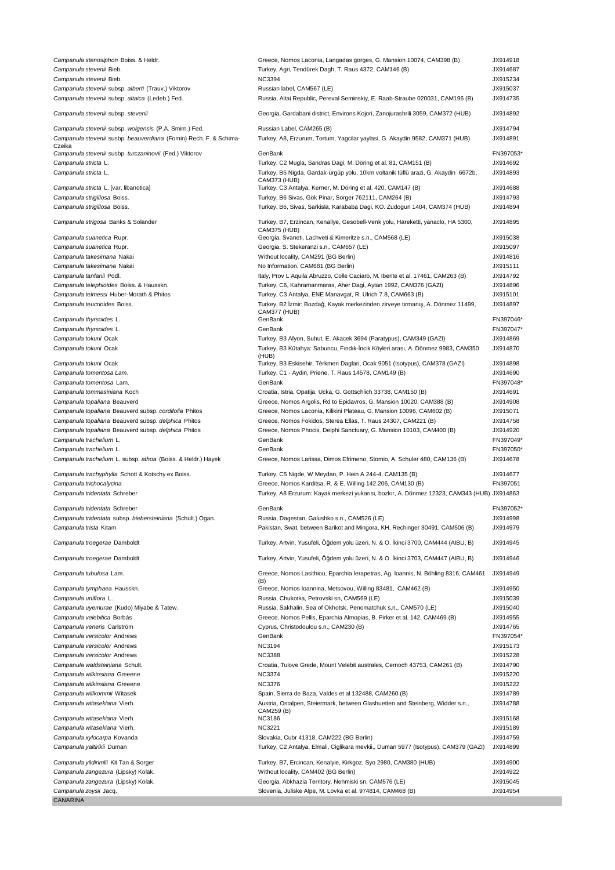| Campanula stenosiphon Boiss. & Heldr.<br>Campanula stevenii Bieb.                                      | Greece, Nomos Laconia, Langadas gorges, G. Mansion 10074, CAM398 (B)<br>Turkey, Agri, Tendürek Dagh, T. Raus 4372, CAM146 (B)                                       | JX914918<br>JX914687  |
|--------------------------------------------------------------------------------------------------------|---------------------------------------------------------------------------------------------------------------------------------------------------------------------|-----------------------|
| Campanula stevenii Bieb.                                                                               | <b>NC3394</b>                                                                                                                                                       | JX915234              |
| Campanula stevenii subsp. alberti (Trauv.) Viktorov<br>Campanula stevenii subsp. altaica (Ledeb.) Fed. | Russian label, CAM567 (LE)<br>Russia, Altai Republic, Pereval Seminskiy, E. Raab-Straube 020031, CAM196 (B)                                                         | JX915037<br>JX914735  |
| Campanula stevenii subsp. stevenii                                                                     | Georgia, Gardabani district, Environs Kojori, Zanojurashrili 3059, CAM372 (HUB)                                                                                     | JX914892              |
| Campanula stevenii subsp. wolgensis (P.A. Smirn.) Fed.                                                 | Russian Label, CAM265 (B)                                                                                                                                           | JX914794              |
| Campanula stevenii susbp. beauverdiana (Fomin) Rech. F. & Schima-<br>Czeika                            | Turkey, A8, Erzurum, Tortum, Yagcilar yaylasi, G. Akaydin 9582, CAM371 (HUB)                                                                                        | JX914891              |
| Campanula stevenii susbp. turczaninovii (Fed.) Viktorov                                                | GenBank                                                                                                                                                             | FN397053*             |
| Campanula stricta L.<br>Campanula stricta L.                                                           | Turkey, C2 Mugla, Sandras Dagi, M. Döring et al. 81, CAM151 (B)<br>Turkey, B5 Nigda, Gardak-ürgüp yolu, 10km voltanik tüflü arazi, G. Akaydin 6672b,                | JX914692<br>JX914893  |
|                                                                                                        | <b>CAM373 (HUB)</b>                                                                                                                                                 |                       |
| Campanula stricta L. [var. libanotica]                                                                 | Turkey, C3 Antalya, Kerner, M. Döring et al. 420, CAM147 (B)                                                                                                        | JX914688              |
| Campanula strigillosa Boiss.                                                                           | Turkey, B6 Sivas, Gök Pinar, Sorger 762111, CAM264 (B)                                                                                                              | JX914793              |
| Campanula strigillosa Boiss.                                                                           | Turkey, B6, Sivas, Sarkisla, Karababa Dagi, KO. Zudogun 1404, CAM374 (HUB)                                                                                          | JX914894              |
| Campanula strigosa Banks & Solander<br>Campanula suanetica Rupr.                                       | Turkey, B7, Erzincan, Kenallye, Gesobell-Venk yolu, Hareketti, yanaclo, HA 5300,<br><b>CAM375 (HUB)</b><br>Georgia, Svaneti, Lachveti & Kimeritze s.n., CAM568 (LE) | JX914895<br>JX915038  |
| Campanula suanetica Rupr.                                                                              | Georgia, S. Stekeranzi s.n., CAM657 (LE)                                                                                                                            | JX915097              |
| Campanula takesimana Nakai                                                                             | Without locality, CAM291 (BG Berlin)                                                                                                                                | JX914816              |
| Campanula takesimana Nakai                                                                             | No Information, CAM681 (BG Berlin)                                                                                                                                  | JX915111              |
| Campanula tanfanii Podl.                                                                               | Italy, Prov L Aquila Abruzzo, Colle Caciaro, M. Iberite et al. 17461, CAM263 (B)                                                                                    | JX914792              |
| Campanula telephioides Boiss. & Hausskn.                                                               | Turkey, C6, Kahramanmaras, Aher Dagi, Aytan 1992, CAM376 (GAZI)                                                                                                     | JX914896              |
| Campanula telmessi Huber-Morath & Phitos                                                               | Turkey, C3 Antalya, ENE Manavgat, R. Ulrich 7.8, CAM663 (B)                                                                                                         | JX915101              |
| Campanula teucrioides Boiss.<br>Campanula thyrsoides L.                                                | Turkey, B2 İzmir: Bozdağ, Kayak merkezinden zirveye tırmanış, A. Dönmez 11499,<br>CAM377 (HUB)<br>GenBank                                                           | JX914897<br>FN397046* |
| Campanula thyrsoides L.                                                                                | GenBank                                                                                                                                                             | FN397047*             |
| Campanula tokurii Ocak                                                                                 | Turkey, B3 Afyon, Suhut, E. Akacek 3694 (Paratypus), CAM349 (GAZI)                                                                                                  | JX914869              |
| Campanula tokurii Ocak                                                                                 | Turkey, B3 Kütahya: Sabuncu, Fındık-İncik Köyleri arası, A. Dönmez 9983, CAM350                                                                                     | JX914870              |
| Campanula tokurii Ocak                                                                                 | (HUB)<br>Turkey, B3 Eskisehir, Tèrkmen Daglari, Ocak 9051 (Isotypus), CAM378 (GAZI)                                                                                 | JX914898              |
| Campanula tomentosa Lam.                                                                               | Turkey, C1 - Aydin, Priene, T. Raus 14578, CAM149 (B)                                                                                                               | JX914690              |
| Campanula tomentosa Lam.                                                                               | GenBank                                                                                                                                                             | FN397048*             |
| Campanula tommasiniana Koch                                                                            | Croatia, Istria, Opatija, Ucka, G. Gottschlich 33738, CAM150 (B)                                                                                                    | JX914691              |
| Campanula topaliana Beauverd                                                                           | Greece, Nomos Argolis, Rd to Epidavros, G. Mansion 10020, CAM388 (B)                                                                                                | JX914908              |
| Campanula topaliana Beauverd subsp. cordifolia Phitos                                                  | Greece, Nomos Laconia, Kilikini Plateau, G. Mansion 10096, CAM602 (B)                                                                                               | JX915071              |
| Campanula topaliana Beauverd subsp. delphica Phitos                                                    | Greece, Nomos Fokidos, Sterea Ellas, T. Raus 24307, CAM221 (B)                                                                                                      | JX914758              |
| Campanula topaliana Beauverd subsp. delphica Phitos                                                    | Greece, Nomos Phocis, Delphi Sanctuary, G. Mansion 10103, CAM400 (B)<br>GenBank                                                                                     | JX914920<br>FN397049* |
| Campanula trachelium L.<br>Campanula trachelium L.                                                     | GenBank                                                                                                                                                             | FN397050*             |
| Campanula trachelium L. subsp. athoa (Boiss. & Heldr.) Hayek                                           | Greece, Nomos Larissa, Dimos Efrimeno, Stomio, A. Schuler 480, CAM136 (B)                                                                                           | JX914678              |
|                                                                                                        |                                                                                                                                                                     |                       |
| Campanula trachyphylla Schott & Kotschy ex Boiss.<br>Campanula trichocalycina                          | Turkey, C5 Nigde, W Meydan, P. Hein A 244-4, CAM135 (B)<br>Greece, Nomos Karditsa, R. & E. Willing 142.206, CAM130 (B)                                              | JX914677<br>FN397051  |
| Campanula tridentata Schreber                                                                          | Turkey, A8 Erzurum: Kayak merkezi yukarısı, bozkır, A. Dönmez 12323, CAM343 (HUB) JX914863                                                                          |                       |
|                                                                                                        |                                                                                                                                                                     |                       |
| Campanula tridentata Schreber                                                                          | GenBank                                                                                                                                                             | FN397052*             |
| Campanula tridentata subsp. biebersteiniana (Schult.) Ogan.<br>Campanula trista Kitam                  | Russia, Dagestan, Galushko s.n., CAM526 (LE)<br>Pakistan, Swat, between Barikot and Mingora, KH. Rechinger 30491, CAM506 (B)                                        | JX914998<br>JX914979  |
| Campanula troegerae Damboldt                                                                           | Turkey, Artvin, Yusufeli, Öğdem yolu üzeri, N. & O. İkinci 3700, CAM444 (AIBU, B)                                                                                   | JX914945              |
|                                                                                                        |                                                                                                                                                                     |                       |
| Campanula troegerae Damboldt                                                                           | Turkey, Artvin, Yusufeli, Öğdem yolu üzeri, N. & O. İkinci 3703, CAM447 (AIBU, B)                                                                                   | JX914946              |
| Campanula tubulosa Lam.                                                                                | Greece, Nomos Lasithiou, Eparchia lerapetras, Ag. Ioannis, N. Böhling 8316, CAM461<br>(B)                                                                           | JX914949              |
| Campanula tymphaea Hausskn.                                                                            | Greece, Nomos Ioannina, Metsovou, Willing 83481, CAM462 (B)                                                                                                         | JX914950              |
| Campanula uniflora L.                                                                                  | Russia, Chukotka, Petrovski sn, CAM569 (LE)                                                                                                                         | JX915039              |
| Campanula uyemurae (Kudo) Miyabe & Tatew.<br>Campanula velebitica Borbás                               | Russia, Sakhalin, Sea of Okhotsk, Penomatchuk s,n., CAM570 (LE)<br>Greece, Nomos Pellis, Eparchia Almopias, B. Pirker et al. 142, CAM469 (B)                        | JX915040<br>JX914955  |
| Campanula veneris Carlström                                                                            | Cyprus, Christodoulou s.n., CAM230 (B)                                                                                                                              | JX914765              |
| Campanula versicolor Andrews                                                                           | GenBank                                                                                                                                                             | FN397054*             |
| Campanula versicolor Andrews                                                                           | <b>NC3194</b>                                                                                                                                                       | JX915173              |
| Campanula versicolor Andrews                                                                           | <b>NC3388</b>                                                                                                                                                       | JX915228              |
| Campanula waldsteiniana Schult.                                                                        | Croatia, Tulove Grede, Mount Velebit australes, Cernoch 43753, CAM261 (B)                                                                                           | JX914790              |
| Campanula wilkinsiana Greeene                                                                          | <b>NC3374</b>                                                                                                                                                       | JX915220              |
| Campanula wilkinsiana Greeene                                                                          | <b>NC3376</b>                                                                                                                                                       | JX915222              |
| Campanula willkommii Witasek<br>Campanula witasekiana Vierh.                                           | Spain, Sierra de Baza, Valdes et al 132488, CAM260 (B)<br>Austria, Ostalpen, Steiermark, between Glashuetten and Steinberg, Widder s.n.,                            | JX914789<br>JX914788  |
|                                                                                                        | CAM259 (B)                                                                                                                                                          |                       |
| Campanula witasekiana Vierh.                                                                           | <b>NC3186</b>                                                                                                                                                       | JX915168              |
| Campanula witasekiana Vierh.<br>Campanula xylocarpa Kovanda                                            | NC3221<br>Slovakia, Cubr 41318, CAM222 (BG Berlin)                                                                                                                  | JX915189<br>JX914759  |
| Campanula yaltirikii Duman                                                                             | Turkey, C2 Antalya, Elmali, Ciglikara mevkii,, Duman 5977 (Isotypus), CAM379 (GAZI)                                                                                 | JX914899              |
| Campanula yildirimlii Kit Tan & Sorger                                                                 | Turkey, B7, Ercincan, Kenalyie, Kirkgoz, Syo 2980, CAM380 (HUB)                                                                                                     | JX914900              |
| Campanula zangezura (Lipsky) Kolak.                                                                    | Without locality, CAM402 (BG Berlin)                                                                                                                                | JX914922              |
| Campanula zangezura (Lipsky) Kolak.                                                                    | Georgia, Abkhazia Territory, Nehmiski sn, CAM576 (LE)                                                                                                               | JX915045              |
| Campanula zoysii Jacq.                                                                                 | Slovenia, Juliske Alpe, M. Lovka et al. 974814, CAM468 (B)                                                                                                          | JX914954              |
| CANARINA                                                                                               |                                                                                                                                                                     |                       |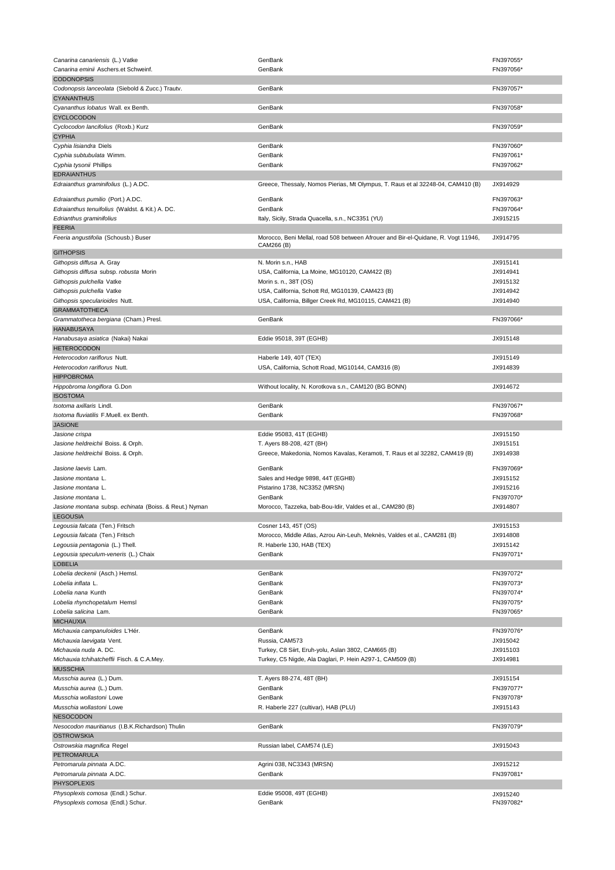| Canarina canariensis (L.) Vatke                                        | GenBank                                                                           | FN397055*             |
|------------------------------------------------------------------------|-----------------------------------------------------------------------------------|-----------------------|
| Canarina eminii Aschers.et Schweinf.                                   | GenBank                                                                           | FN397056*             |
| <b>CODONOPSIS</b>                                                      |                                                                                   |                       |
| Codonopsis lanceolata (Siebold & Zucc.) Trautv.                        | GenBank                                                                           | FN397057*             |
| <b>CYANANTHUS</b>                                                      |                                                                                   |                       |
| Cyananthus lobatus Wall. ex Benth.                                     | GenBank                                                                           | FN397058*             |
| CYCLOCODON                                                             |                                                                                   |                       |
| Cyclocodon lancifolius (Roxb.) Kurz                                    | GenBank                                                                           | FN397059*             |
| <b>CYPHIA</b>                                                          |                                                                                   |                       |
| Cyphia lisiandra Diels                                                 | GenBank                                                                           | FN397060*             |
| Cyphia subtubulata Wimm.                                               | GenBank                                                                           | FN397061*             |
| Cyphia tysonii Phillips                                                | GenBank                                                                           | FN397062*             |
| <b>EDRAIANTHUS</b>                                                     |                                                                                   |                       |
| Edraianthus graminifolius (L.) A.DC.                                   | Greece, Thessaly, Nomos Pierias, Mt Olympus, T. Raus et al 32248-04, CAM410 (B)   | JX914929              |
| Edraianthus pumilio (Port.) A.DC.                                      | GenBank                                                                           | FN397063*             |
| Edraianthus tenuifolius (Waldst. & Kit.) A. DC.                        | GenBank                                                                           | FN397064*             |
| Edrianthus graminifolius                                               | Italy, Sicily, Strada Quacella, s.n., NC3351 (YU)                                 | JX915215              |
| <b>FEERIA</b>                                                          |                                                                                   |                       |
| Feeria angustifolia (Schousb.) Buser                                   | Morocco, Beni Mellal, road 508 between Afrouer and Bir-el-Quidane, R. Vogt 11946, | JX914795              |
|                                                                        | CAM266 (B)                                                                        |                       |
| <b>GITHOPSIS</b>                                                       |                                                                                   |                       |
| Githopsis diffusa A. Gray                                              | N. Morin s.n., HAB                                                                | JX915141              |
| Githopsis diffusa subsp. robusta Morin                                 | USA, California, La Moine, MG10120, CAM422 (B)                                    | JX914941              |
| Githopsis pulchella Vatke                                              | Morin s. n., 38T (OS)                                                             | JX915132              |
| Githopsis pulchella Vatke                                              | USA, California, Schott Rd, MG10139, CAM423 (B)                                   | JX914942              |
| Githopsis specularioides Nutt.                                         | USA, California, Billger Creek Rd, MG10115, CAM421 (B)                            | JX914940              |
| <b>GRAMMATOTHECA</b>                                                   |                                                                                   |                       |
| Grammatotheca bergiana (Cham.) Presl.                                  | GenBank                                                                           | FN397066*             |
| HANABUSAYA                                                             |                                                                                   |                       |
| <i>Hanabusaya asiatica (</i> Nakai) Nakai                              | Eddie 95018, 39T (EGHB)                                                           | JX915148              |
| <b>HETEROCODON</b>                                                     |                                                                                   |                       |
| Heterocodon rariflorus Nutt.                                           | Haberle 149, 40T (TEX)                                                            | JX915149              |
| Heterocodon rariflorus Nutt.                                           | USA, California, Schott Road, MG10144, CAM316 (B)                                 | JX914839              |
| <b>HIPPOBROMA</b>                                                      |                                                                                   |                       |
| Hippobroma longiflora G.Don                                            | Without locality, N. Korotkova s.n., CAM120 (BG BONN)                             | JX914672              |
| <b>ISOSTOMA</b>                                                        |                                                                                   |                       |
| Isotoma axillaris Lindl.                                               | GenBank                                                                           | FN397067*             |
| Isotoma fluviatilis F.Muell. ex Benth.                                 | GenBank                                                                           | FN397068*             |
| <b>JASIONE</b>                                                         |                                                                                   |                       |
| Jasione crispa                                                         | Eddie 95083, 41T (EGHB)                                                           | JX915150              |
| Jasione heldreichii Boiss. & Orph.                                     | T. Ayers 88-208, 42T (BH)                                                         | JX915151              |
| Jasione heldreichii Boiss. & Orph.                                     | Greece, Makedonia, Nomos Kavalas, Keramoti, T. Raus et al 32282, CAM419 (B)       | JX914938              |
| <i>Jasione laevis L</i> am.                                            | GenBank                                                                           | FN397069*             |
| Jasione montana L.                                                     | Sales and Hedge 9898, 44T (EGHB)                                                  | JX915152              |
| Jasione montana L.                                                     | Pistarino 1738, NC3352 (MRSN)                                                     | JX915216              |
| Jasione montana L.                                                     | GenBank                                                                           | FN397070*             |
| Jasione montana subsp. echinata (Boiss. & Reut.) Nyman                 | Morocco, Tazzeka, bab-Bou-Idir, Valdes et al., CAM280 (B)                         | JX914807              |
| LEGOUSIA                                                               |                                                                                   |                       |
| Legousia falcata (Ten.) Fritsch                                        | Cosner 143, 45T (OS)                                                              | JX915153              |
| Legousia falcata (Ten.) Fritsch                                        | Morocco, Middle Atlas, Azrou Ain-Leuh, Meknès, Valdes et al., CAM281 (B)          | JX914808              |
|                                                                        |                                                                                   |                       |
| Legousia pentagonia (L.) Thell.                                        | R. Haberle 130, HAB (TEX)<br>GenBank                                              | JX915142<br>FN397071* |
| Legousia speculum-veneris (L.) Chaix                                   |                                                                                   |                       |
| <b>LOBELIA</b>                                                         |                                                                                   |                       |
| Lobelia deckenii (Asch.) Hemsl.                                        | GenBank                                                                           | FN397072*             |
| Lobelia inflata L.                                                     | GenBank                                                                           | FN397073*             |
| <i>Lobelia nana K</i> unth                                             | GenBank                                                                           | FN397074*             |
| Lobelia rhynchopetalum Hemsl                                           | GenBank                                                                           | FN397075*             |
| Lobelia salicina Lam.                                                  | GenBank                                                                           | FN397065*             |
| <b>MICHAUXIA</b>                                                       |                                                                                   |                       |
| Michauxia campanuloides L'Hér.                                         | GenBank                                                                           | FN397076*             |
| <i>Michauxia laevigata Vent.</i>                                       | Russia, CAM573                                                                    | JX915042              |
| Michauxia nuda A. DC.                                                  | Turkey, C8 Siirt, Eruh-yolu, Aslan 3802, CAM665 (B)                               | JX915103              |
| Michauxia tchihatcheffii Fisch. & C.A.Mey.                             | Turkey, C5 Nigde, Ala Daglari, P. Hein A297-1, CAM509 (B)                         | JX914981              |
| <b>MUSSCHIA</b>                                                        |                                                                                   |                       |
| Musschia aurea (L.) Dum.                                               | T. Ayers 88-274, 48T (BH)                                                         | JX915154              |
| Musschia aurea (L.) Dum.                                               | GenBank                                                                           | FN397077*             |
| Musschia wollastoni Lowe                                               | GenBank                                                                           | FN397078*             |
| Musschia wollastoni Lowe                                               | R. Haberle 227 (cultivar), HAB (PLU)                                              | JX915143              |
| NESOCODON                                                              |                                                                                   |                       |
| Nesocodon mauritianus (I.B.K.Richardson) Thulin                        | GenBank                                                                           | FN397079*             |
| <b>OSTROWSKIA</b>                                                      |                                                                                   | JX915043              |
| Ostrowskia magnifica Regel                                             | Russian label, CAM574 (LE)                                                        |                       |
| PETROMARULA                                                            |                                                                                   | JX915212              |
| Petromarula pinnata A.DC.<br>Petromarula pinnata A.DC.                 |                                                                                   |                       |
|                                                                        | Agrini 038, NC3343 (MRSN)                                                         |                       |
|                                                                        | GenBank                                                                           | FN397081*             |
| <b>PHYSOPLEXIS</b>                                                     |                                                                                   |                       |
| Physoplexis comosa (Endl.) Schur.<br>Physoplexis comosa (Endl.) Schur. | Eddie 95008, 49T (EGHB)<br>GenBank                                                | JX915240<br>FN397082* |